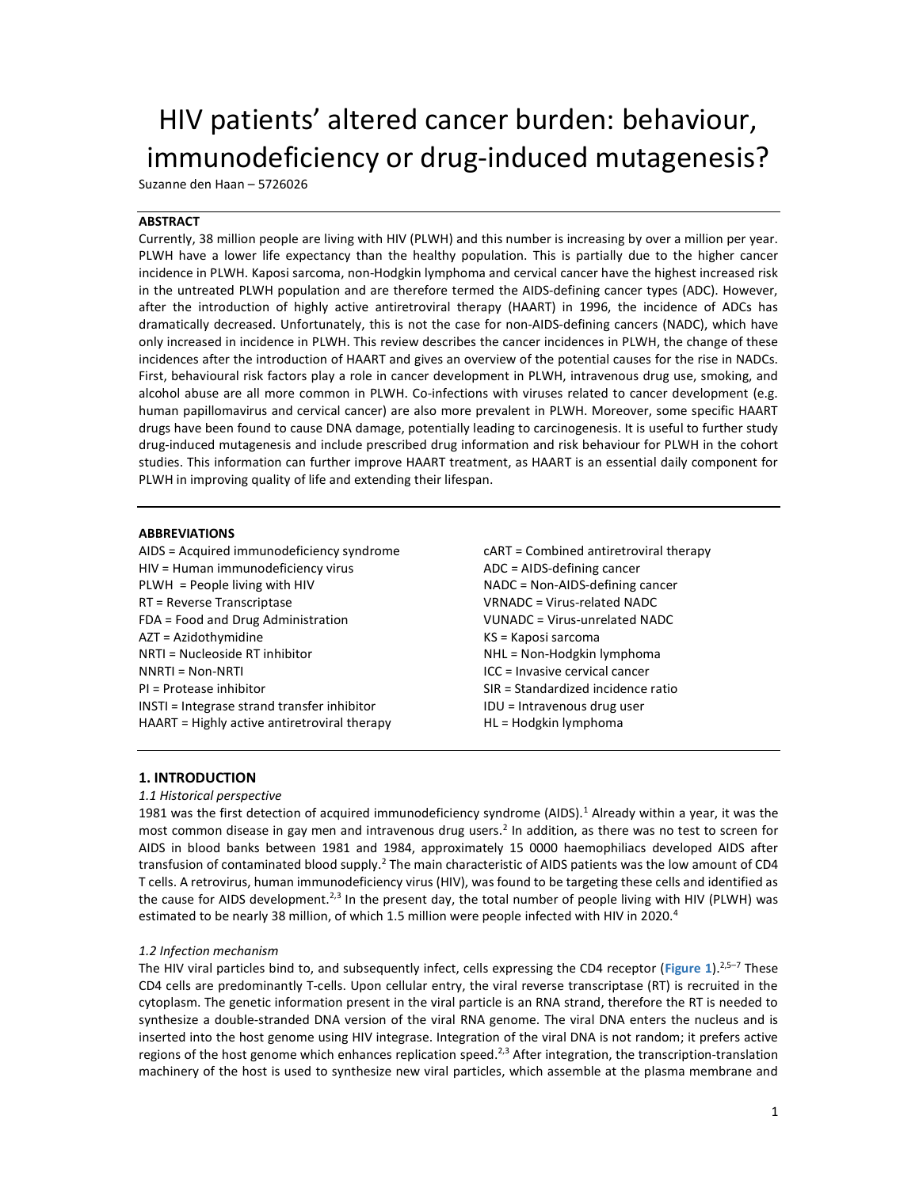# HIV patients' altered cancer burden: behaviour, immunodeficiency or drug-induced mutagenesis?

Suzanne den Haan – 5726026

# ABSTRACT

Currently, 38 million people are living with HIV (PLWH) and this number is increasing by over a million per year. PLWH have a lower life expectancy than the healthy population. This is partially due to the higher cancer incidence in PLWH. Kaposi sarcoma, non-Hodgkin lymphoma and cervical cancer have the highest increased risk in the untreated PLWH population and are therefore termed the AIDS-defining cancer types (ADC). However, after the introduction of highly active antiretroviral therapy (HAART) in 1996, the incidence of ADCs has dramatically decreased. Unfortunately, this is not the case for non-AIDS-defining cancers (NADC), which have only increased in incidence in PLWH. This review describes the cancer incidences in PLWH, the change of these incidences after the introduction of HAART and gives an overview of the potential causes for the rise in NADCs. First, behavioural risk factors play a role in cancer development in PLWH, intravenous drug use, smoking, and alcohol abuse are all more common in PLWH. Co-infections with viruses related to cancer development (e.g. human papillomavirus and cervical cancer) are also more prevalent in PLWH. Moreover, some specific HAART drugs have been found to cause DNA damage, potentially leading to carcinogenesis. It is useful to further study drug-induced mutagenesis and include prescribed drug information and risk behaviour for PLWH in the cohort studies. This information can further improve HAART treatment, as HAART is an essential daily component for PLWH in improving quality of life and extending their lifespan.

# ABBREVIATIONS

AIDS = Acquired immunodeficiency syndrome HIV = Human immunodeficiency virus PLWH = People living with HIV RT = Reverse Transcriptase FDA = Food and Drug Administration AZT = Azidothymidine NRTI = Nucleoside RT inhibitor NNRTI = Non-NRTI PI = Protease inhibitor INSTI = Integrase strand transfer inhibitor HAART = Highly active antiretroviral therapy

cART = Combined antiretroviral therapy ADC = AIDS-defining cancer NADC = Non-AIDS-defining cancer VRNADC = Virus-related NADC VUNADC = Virus-unrelated NADC KS = Kaposi sarcoma NHL = Non-Hodgkin lymphoma ICC = Invasive cervical cancer SIR = Standardized incidence ratio IDU = Intravenous drug user HL = Hodgkin lymphoma

# 1. INTRODUCTION

# 1.1 Historical perspective

1981 was the first detection of acquired immunodeficiency syndrome (AIDS).<sup>1</sup> Already within a year, it was the most common disease in gay men and intravenous drug users.<sup>2</sup> In addition, as there was no test to screen for AIDS in blood banks between 1981 and 1984, approximately 15 0000 haemophiliacs developed AIDS after transfusion of contaminated blood supply.<sup>2</sup> The main characteristic of AIDS patients was the low amount of CD4 T cells. A retrovirus, human immunodeficiency virus (HIV), was found to be targeting these cells and identified as the cause for AIDS development.<sup>2,3</sup> In the present day, the total number of people living with HIV (PLWH) was estimated to be nearly 38 million, of which 1.5 million were people infected with HIV in 2020.<sup>4</sup>

# 1.2 Infection mechanism

The HIV viral particles bind to, and subsequently infect, cells expressing the CD4 receptor (Figure 1).<sup>2,5-7</sup> These CD4 cells are predominantly T-cells. Upon cellular entry, the viral reverse transcriptase (RT) is recruited in the cytoplasm. The genetic information present in the viral particle is an RNA strand, therefore the RT is needed to synthesize a double-stranded DNA version of the viral RNA genome. The viral DNA enters the nucleus and is inserted into the host genome using HIV integrase. Integration of the viral DNA is not random; it prefers active regions of the host genome which enhances replication speed.<sup>2,3</sup> After integration, the transcription-translation machinery of the host is used to synthesize new viral particles, which assemble at the plasma membrane and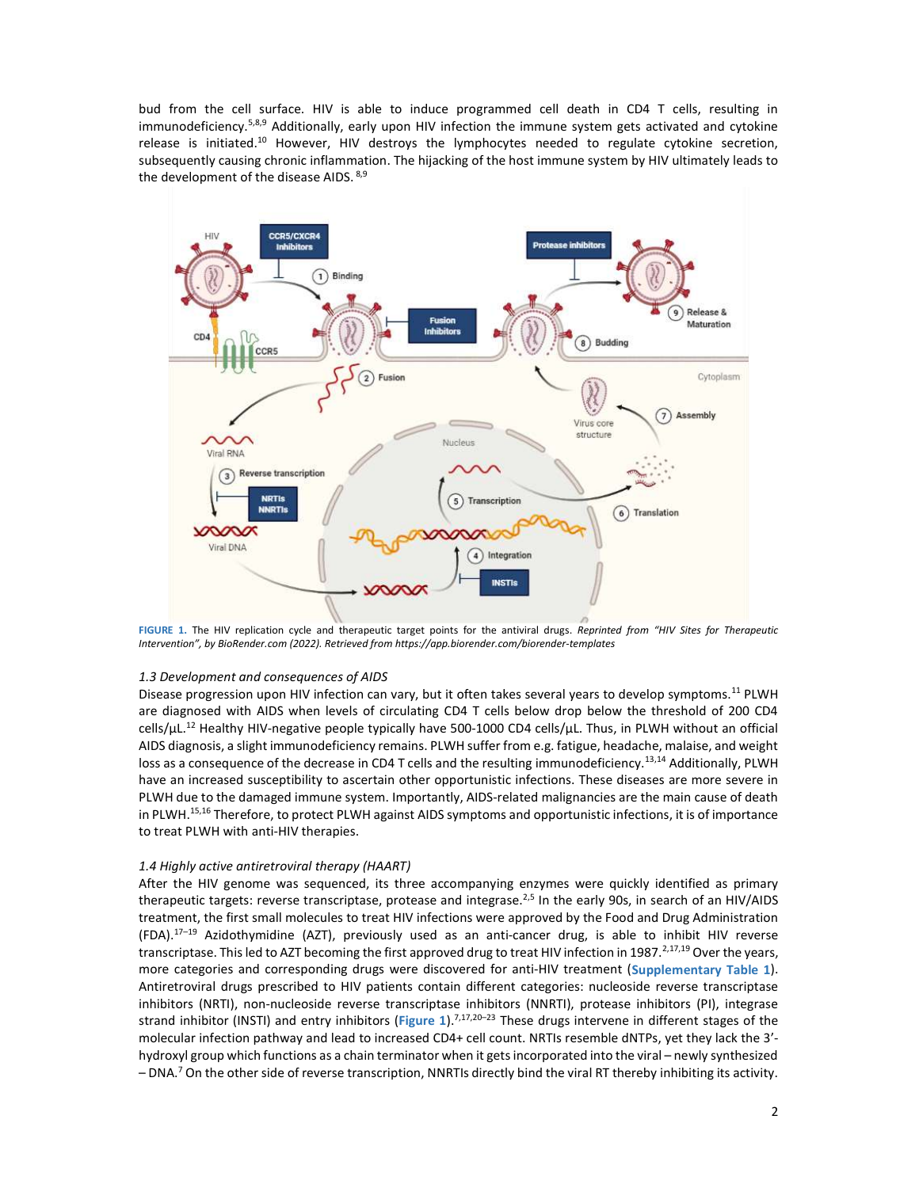bud from the cell surface. HIV is able to induce programmed cell death in CD4 T cells, resulting in immunodeficiency.<sup>5,8,9</sup> Additionally, early upon HIV infection the immune system gets activated and cytokine release is initiated.<sup>10</sup> However, HIV destroys the lymphocytes needed to regulate cytokine secretion, subsequently causing chronic inflammation. The hijacking of the host immune system by HIV ultimately leads to the development of the disease AIDS. 8,9



FIGURE 1. The HIV replication cycle and therapeutic target points for the antiviral drugs. Reprinted from "HIV Sites for Therapeutic Intervention", by BioRender.com (2022). Retrieved from https://app.biorender.com/biorender-templates

## 1.3 Development and consequences of AIDS

Disease progression upon HIV infection can vary, but it often takes several years to develop symptoms.<sup>11</sup> PLWH are diagnosed with AIDS when levels of circulating CD4 T cells below drop below the threshold of 200 CD4 cells/μL.<sup>12</sup> Healthy HIV-negative people typically have 500-1000 CD4 cells/μL. Thus, in PLWH without an official AIDS diagnosis, a slight immunodeficiency remains. PLWH suffer from e.g. fatigue, headache, malaise, and weight loss as a consequence of the decrease in CD4 T cells and the resulting immunodeficiency.<sup>13,14</sup> Additionally, PLWH have an increased susceptibility to ascertain other opportunistic infections. These diseases are more severe in PLWH due to the damaged immune system. Importantly, AIDS-related malignancies are the main cause of death in PLWH.<sup>15,16</sup> Therefore, to protect PLWH against AIDS symptoms and opportunistic infections, it is of importance to treat PLWH with anti-HIV therapies.

# 1.4 Highly active antiretroviral therapy (HAART)

After the HIV genome was sequenced, its three accompanying enzymes were quickly identified as primary therapeutic targets: reverse transcriptase, protease and integrase.<sup>2,5</sup> In the early 90s, in search of an HIV/AIDS treatment, the first small molecules to treat HIV infections were approved by the Food and Drug Administration  $(FDA).<sup>17–19</sup>$  Azidothymidine (AZT), previously used as an anti-cancer drug, is able to inhibit HIV reverse transcriptase. This led to AZT becoming the first approved drug to treat HIV infection in 1987.<sup>2,17,19</sup> Over the years, more categories and corresponding drugs were discovered for anti-HIV treatment (Supplementary Table 1). Antiretroviral drugs prescribed to HIV patients contain different categories: nucleoside reverse transcriptase inhibitors (NRTI), non-nucleoside reverse transcriptase inhibitors (NNRTI), protease inhibitors (PI), integrase strand inhibitor (INSTI) and entry inhibitors (Figure 1).<sup>7,17,20-23</sup> These drugs intervene in different stages of the molecular infection pathway and lead to increased CD4+ cell count. NRTIs resemble dNTPs, yet they lack the 3' hydroxyl group which functions as a chain terminator when it gets incorporated into the viral – newly synthesized - DNA.<sup>7</sup> On the other side of reverse transcription, NNRTIs directly bind the viral RT thereby inhibiting its activity.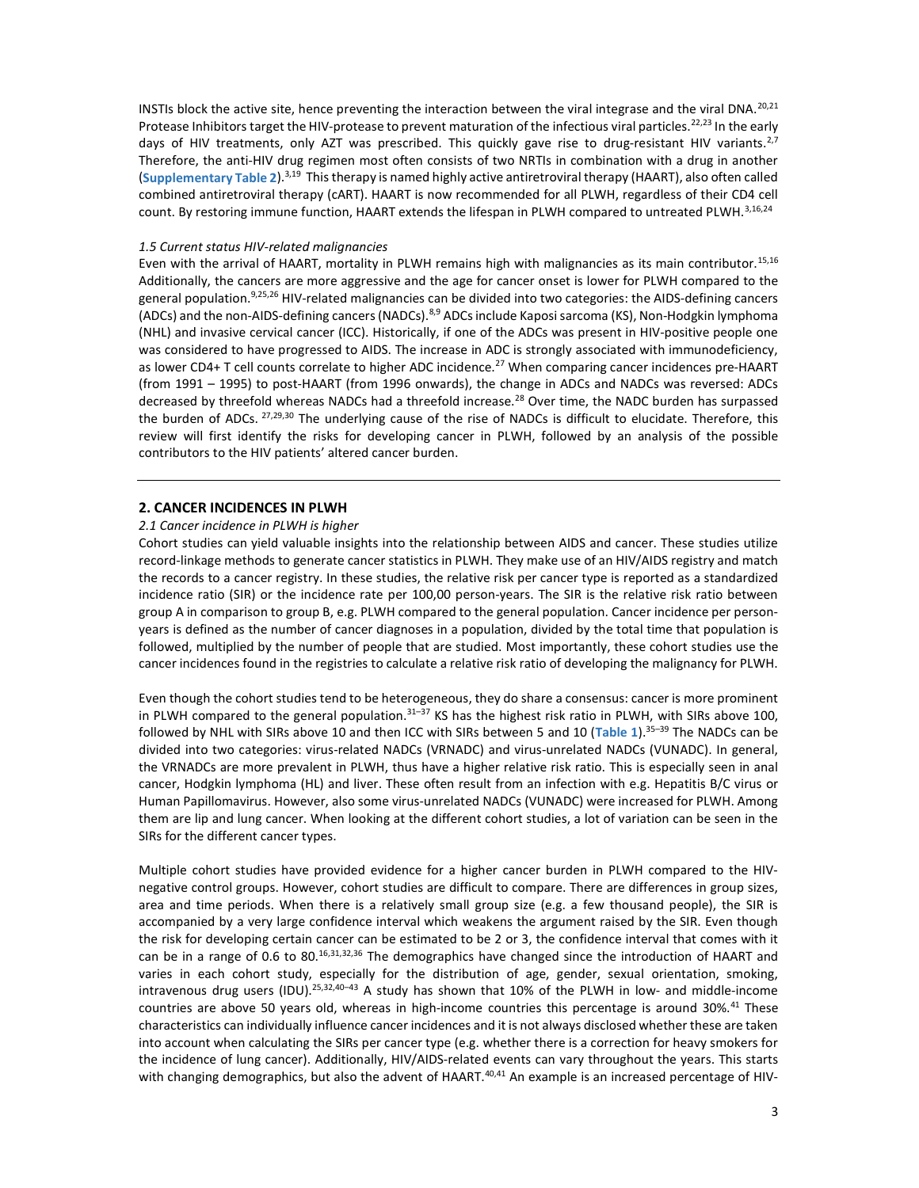INSTIs block the active site, hence preventing the interaction between the viral integrase and the viral DNA.<sup>20,21</sup> Protease Inhibitors target the HIV-protease to prevent maturation of the infectious viral particles.<sup>22,23</sup> In the early days of HIV treatments, only AZT was prescribed. This quickly gave rise to drug-resistant HIV variants.<sup>2,7</sup> Therefore, the anti-HIV drug regimen most often consists of two NRTIs in combination with a drug in another (Supplementary Table 2).<sup>3,19</sup> This therapy is named highly active antiretroviral therapy (HAART), also often called combined antiretroviral therapy (cART). HAART is now recommended for all PLWH, regardless of their CD4 cell count. By restoring immune function, HAART extends the lifespan in PLWH compared to untreated PLWH.<sup>3,16,24</sup>

#### 1.5 Current status HIV-related malignancies

Even with the arrival of HAART, mortality in PLWH remains high with malignancies as its main contributor.<sup>15,16</sup> Additionally, the cancers are more aggressive and the age for cancer onset is lower for PLWH compared to the general population.9,25,26 HIV-related malignancies can be divided into two categories: the AIDS-defining cancers (ADCs) and the non-AIDS-defining cancers (NADCs).<sup>8,9</sup> ADCs include Kaposi sarcoma (KS), Non-Hodgkin lymphoma (NHL) and invasive cervical cancer (ICC). Historically, if one of the ADCs was present in HIV-positive people one was considered to have progressed to AIDS. The increase in ADC is strongly associated with immunodeficiency, as lower CD4+ T cell counts correlate to higher ADC incidence.<sup>27</sup> When comparing cancer incidences pre-HAART (from 1991 – 1995) to post-HAART (from 1996 onwards), the change in ADCs and NADCs was reversed: ADCs decreased by threefold whereas NADCs had a threefold increase.<sup>28</sup> Over time, the NADC burden has surpassed the burden of ADCs. 27,29,30 The underlying cause of the rise of NADCs is difficult to elucidate. Therefore, this review will first identify the risks for developing cancer in PLWH, followed by an analysis of the possible contributors to the HIV patients' altered cancer burden.

# 2. CANCER INCIDENCES IN PLWH

#### 2.1 Cancer incidence in PLWH is higher

Cohort studies can yield valuable insights into the relationship between AIDS and cancer. These studies utilize record-linkage methods to generate cancer statistics in PLWH. They make use of an HIV/AIDS registry and match the records to a cancer registry. In these studies, the relative risk per cancer type is reported as a standardized incidence ratio (SIR) or the incidence rate per 100,00 person-years. The SIR is the relative risk ratio between group A in comparison to group B, e.g. PLWH compared to the general population. Cancer incidence per personyears is defined as the number of cancer diagnoses in a population, divided by the total time that population is followed, multiplied by the number of people that are studied. Most importantly, these cohort studies use the cancer incidences found in the registries to calculate a relative risk ratio of developing the malignancy for PLWH.

Even though the cohort studies tend to be heterogeneous, they do share a consensus: cancer is more prominent in PLWH compared to the general population.<sup>31–37</sup> KS has the highest risk ratio in PLWH, with SIRs above 100, followed by NHL with SIRs above 10 and then ICC with SIRs between 5 and 10 (Table 1).<sup>35–39</sup> The NADCs can be divided into two categories: virus-related NADCs (VRNADC) and virus-unrelated NADCs (VUNADC). In general, the VRNADCs are more prevalent in PLWH, thus have a higher relative risk ratio. This is especially seen in anal cancer, Hodgkin lymphoma (HL) and liver. These often result from an infection with e.g. Hepatitis B/C virus or Human Papillomavirus. However, also some virus-unrelated NADCs (VUNADC) were increased for PLWH. Among them are lip and lung cancer. When looking at the different cohort studies, a lot of variation can be seen in the SIRs for the different cancer types.

Multiple cohort studies have provided evidence for a higher cancer burden in PLWH compared to the HIVnegative control groups. However, cohort studies are difficult to compare. There are differences in group sizes, area and time periods. When there is a relatively small group size (e.g. a few thousand people), the SIR is accompanied by a very large confidence interval which weakens the argument raised by the SIR. Even though the risk for developing certain cancer can be estimated to be 2 or 3, the confidence interval that comes with it can be in a range of 0.6 to 80.16,31,32,36 The demographics have changed since the introduction of HAART and varies in each cohort study, especially for the distribution of age, gender, sexual orientation, smoking, intravenous drug users (IDU).<sup>25,32,40–43</sup> A study has shown that 10% of the PLWH in low- and middle-income countries are above 50 years old, whereas in high-income countries this percentage is around 30%.<sup>41</sup> These characteristics can individually influence cancer incidences and it is not always disclosed whether these are taken into account when calculating the SIRs per cancer type (e.g. whether there is a correction for heavy smokers for the incidence of lung cancer). Additionally, HIV/AIDS-related events can vary throughout the years. This starts with changing demographics, but also the advent of HAART.<sup>40,41</sup> An example is an increased percentage of HIV-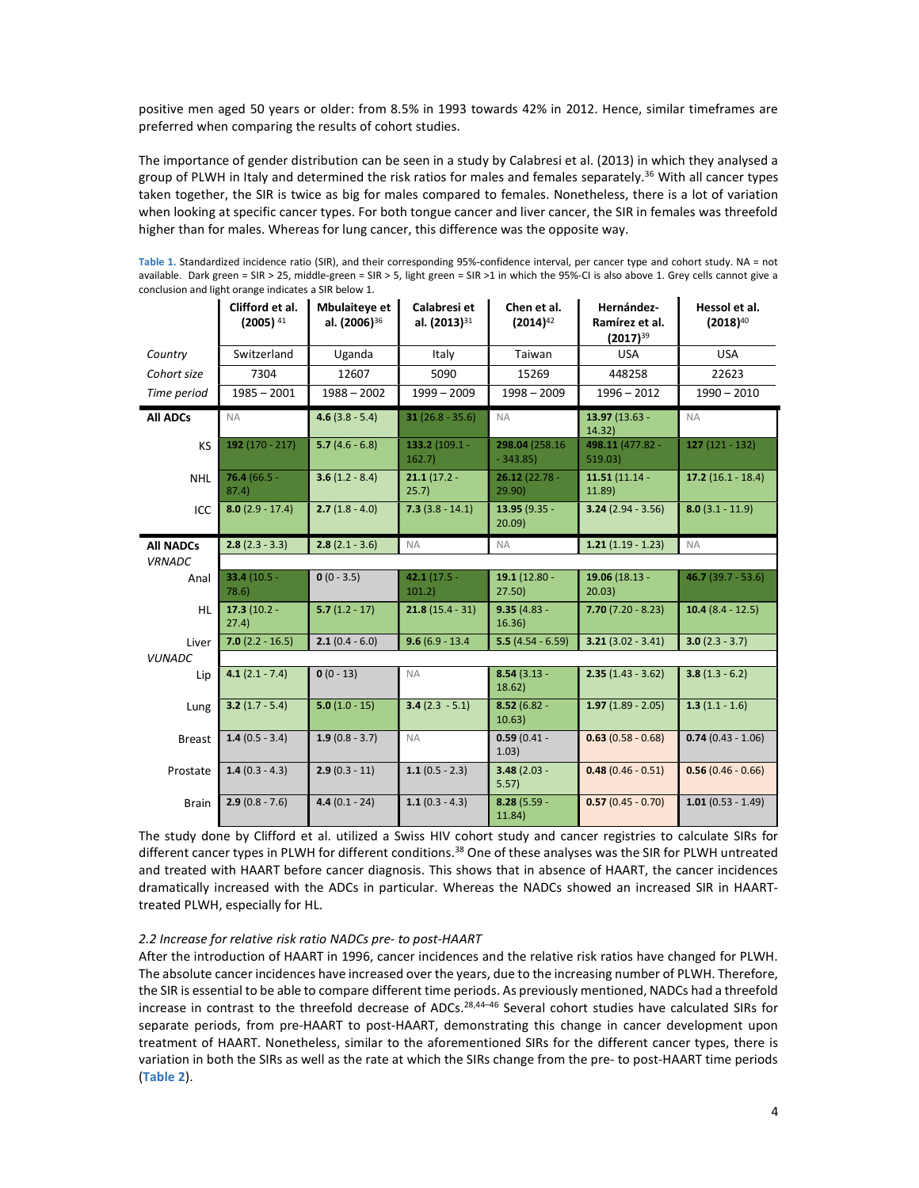positive men aged 50 years or older: from 8.5% in 1993 towards 42% in 2012. Hence, similar timeframes are preferred when comparing the results of cohort studies.

The importance of gender distribution can be seen in a study by Calabresi et al. (2013) in which they analysed a group of PLWH in Italy and determined the risk ratios for males and females separately.<sup>36</sup> With all cancer types taken together, the SIR is twice as big for males compared to females. Nonetheless, there is a lot of variation when looking at specific cancer types. For both tongue cancer and liver cancer, the SIR in females was threefold higher than for males. Whereas for lung cancer, this difference was the opposite way.

Table 1. Standardized incidence ratio (SIR), and their corresponding 95%-confidence interval, per cancer type and cohort study. NA = not available. Dark green = SIR > 25, middle-green = SIR > 5, light green = SIR >1 in which the 95%-CI is also above 1. Grey cells cannot give a conclusion and light orange indicates a SIR below 1.

|                  | Clifford et al.<br>$(2005)^{41}$    | <b>Mbulaiteve et</b><br>al. (2006) <sup>36</sup> | Calabresi et<br>al. (2013) <sup>31</sup> | Chen et al.<br>$(2014)^{42}$ | Hernández-<br>Ramírez et al.<br>$(2017)^{39}$ | Hessol et al.<br>$(2018)^{40}$ |  |
|------------------|-------------------------------------|--------------------------------------------------|------------------------------------------|------------------------------|-----------------------------------------------|--------------------------------|--|
| Country          | Switzerland                         | Uganda                                           | Italy                                    | Taiwan                       | <b>USA</b>                                    | <b>USA</b>                     |  |
| Cohort size      | 7304                                | 12607                                            | 5090                                     | 15269                        | 448258                                        | 22623                          |  |
| Time period      | $1985 - 2001$                       | $1988 - 2002$                                    | $1999 - 2009$                            | $1998 - 2009$                | $1996 - 2012$                                 | $1990 - 2010$                  |  |
| <b>All ADCs</b>  | <b>NA</b>                           | $4.6(3.8 - 5.4)$                                 | $31(26.8 - 35.6)$                        | <b>NA</b>                    | $13.97(13.63 -$<br>14.32)                     | <b>NA</b>                      |  |
| <b>KS</b>        | 192 $(170 - 217)$                   | 5.7 $(4.6 - 6.8)$                                | 133.2 (109.1 -<br>162.7                  | 298.04 (258.16)<br>$-343.85$ | 498.11 (477.82 -<br>519.03)                   | $127(121 - 132)$               |  |
| <b>NHL</b>       | $76.4(66.5 -$<br>87.4)              | $3.6(1.2 - 8.4)$                                 | $21.1(17.2 -$<br>25.7)                   | $26.12(22.78 -$<br>29.90)    | $11.51(11.14 -$<br>11.89)                     | $17.2(16.1 - 18.4)$            |  |
| ICC              | $8.0(2.9 - 17.4)$                   | $2.7(1.8 - 4.0)$                                 | $7.3(3.8 - 14.1)$                        | $13.95(9.35 -$<br>20.09      | $3.24(2.94 - 3.56)$                           | $8.0(3.1 - 11.9)$              |  |
| <b>All NADCs</b> | $2.8(2.3 - 3.3)$                    | $2.8(2.1 - 3.6)$                                 | <b>NA</b>                                | <b>NA</b>                    | $1.21(1.19 - 1.23)$                           | <b>NA</b>                      |  |
| <b>VRNADC</b>    |                                     |                                                  |                                          |                              |                                               |                                |  |
| Anal             | 33.4 $(10.5 -$<br>78.6)             | $0(0 - 3.5)$                                     | 42.1 $(17.5 -$<br>101.2)                 | $19.1(12.80 -$<br>27.50      | 19.06 (18.13 -<br>20.03                       | $46.7(39.7 - 53.6)$            |  |
| <b>HL</b>        | $17.3(10.2 -$<br>27.4)              | $5.7(1.2 - 17)$                                  | $21.8(15.4 - 31)$                        | $9.35(4.83 -$<br>16.36       | $7.70(7.20 - 8.23)$                           | 10.4 $(8.4 - 12.5)$            |  |
| Liver            | $7.0(2.2 - 16.5)$                   | $2.1(0.4 - 6.0)$                                 | $9.6(6.9 - 13.4)$                        | $5.5(4.54 - 6.59)$           | $3.21(3.02 - 3.41)$                           | $3.0(2.3 - 3.7)$               |  |
| <b>VUNADC</b>    |                                     |                                                  |                                          |                              |                                               |                                |  |
| Lip              | $4.1(2.1 - 7.4)$                    | $0(0 - 13)$                                      | <b>NA</b>                                | $8.54(3.13 -$<br>18.62)      | $2.35(1.43 - 3.62)$                           | $3.8(1.3 - 6.2)$               |  |
| Lung             | $3.2(1.7 - 5.4)$                    | $5.0(1.0 - 15)$                                  | $3.4(2.3 - 5.1)$                         | $8.52(6.82 -$<br>10.63)      | $1.97(1.89 - 2.05)$                           | $1.3(1.1 - 1.6)$               |  |
| <b>Breast</b>    | $1.4(0.5 - 3.4)$                    | $1.9(0.8 - 3.7)$                                 | <b>NA</b>                                | $0.59(0.41 -$<br>1.03)       | $0.63(0.58 - 0.68)$                           | $0.74(0.43 - 1.06)$            |  |
| Prostate         | $1.4(0.3 - 4.3)$                    | $2.9(0.3 - 11)$                                  | $1.1(0.5 - 2.3)$                         | $3.48(2.03 -$<br>5.57)       | $0.48(0.46 - 0.51)$                           | $0.56(0.46 - 0.66)$            |  |
| <b>Brain</b>     | $2.9(0.8 - 7.6)$<br>$4.4(0.1 - 24)$ |                                                  | $1.1(0.3 - 4.3)$                         | $8.28(5.59 -$<br>11.84)      | $0.57(0.45 - 0.70)$                           | $1.01(0.53 - 1.49)$            |  |

The study done by Clifford et al. utilized a Swiss HIV cohort study and cancer registries to calculate SIRs for different cancer types in PLWH for different conditions.<sup>38</sup> One of these analyses was the SIR for PLWH untreated and treated with HAART before cancer diagnosis. This shows that in absence of HAART, the cancer incidences dramatically increased with the ADCs in particular. Whereas the NADCs showed an increased SIR in HAARTtreated PLWH, especially for HL.

#### 2.2 Increase for relative risk ratio NADCs pre- to post-HAART

After the introduction of HAART in 1996, cancer incidences and the relative risk ratios have changed for PLWH. The absolute cancer incidences have increased over the years, due to the increasing number of PLWH. Therefore, the SIR is essential to be able to compare different time periods. As previously mentioned, NADCs had a threefold increase in contrast to the threefold decrease of ADCs.28,44–46 Several cohort studies have calculated SIRs for separate periods, from pre-HAART to post-HAART, demonstrating this change in cancer development upon treatment of HAART. Nonetheless, similar to the aforementioned SIRs for the different cancer types, there is variation in both the SIRs as well as the rate at which the SIRs change from the pre- to post-HAART time periods (Table 2).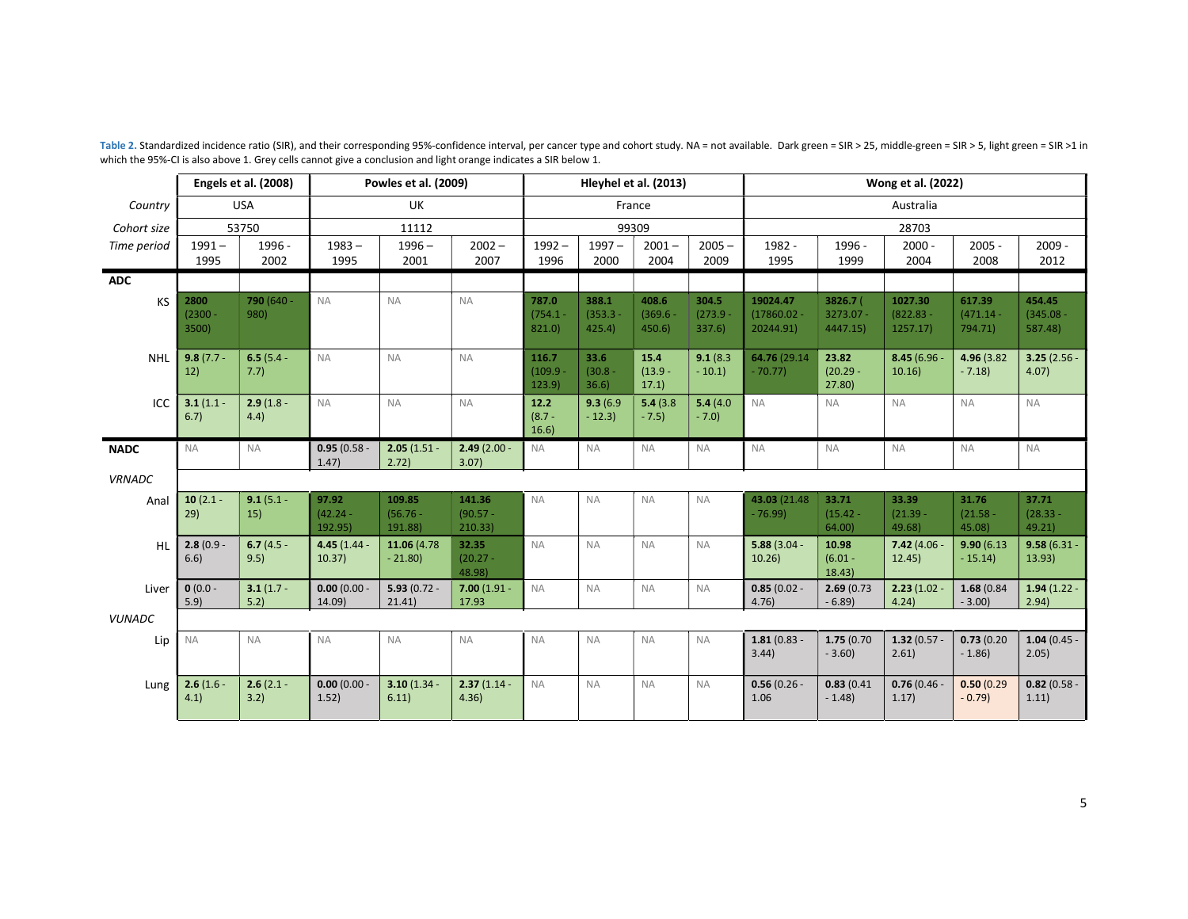|               | Engels et al. (2008)       |                      | Powles et al. (2009)           |                                 | Hleyhel et al. (2013)           |                              |                               | Wong et al. (2022)           |                               |                                        |                                     |                                   |                                  |                                  |
|---------------|----------------------------|----------------------|--------------------------------|---------------------------------|---------------------------------|------------------------------|-------------------------------|------------------------------|-------------------------------|----------------------------------------|-------------------------------------|-----------------------------------|----------------------------------|----------------------------------|
| Country       |                            | <b>USA</b>           |                                | UK                              |                                 |                              |                               | France                       |                               | Australia                              |                                     |                                   |                                  |                                  |
| Cohort size   |                            | 53750                | 11112                          |                                 |                                 | 99309                        |                               |                              | 28703                         |                                        |                                     |                                   |                                  |                                  |
| Time period   | $1991 -$<br>1995           | 1996 -<br>2002       | $1983 -$<br>1995               | $1996 -$<br>2001                | $2002 -$<br>2007                | $1992 -$<br>1996             | $1997 -$<br>2000              | $2001 -$<br>2004             | $2005 -$<br>2009              | 1982 -<br>1995                         | 1996 -<br>1999                      | $2000 -$<br>2004                  | $2005 -$<br>2008                 | $2009 -$<br>2012                 |
| <b>ADC</b>    |                            |                      |                                |                                 |                                 |                              |                               |                              |                               |                                        |                                     |                                   |                                  |                                  |
| KS            | 2800<br>$(2300 -$<br>3500) | 790 (640 -<br>980)   | <b>NA</b>                      | <b>NA</b>                       | <b>NA</b>                       | 787.0<br>$(754.1 -$<br>821.0 | 388.1<br>$(353.3 -$<br>425.4) | 408.6<br>$(369.6 -$<br>450.6 | 304.5<br>$(273.9 -$<br>337.6) | 19024.47<br>$(17860.02 -$<br>20244.91) | 3826.7 (<br>$3273.07 -$<br>4447.15) | 1027.30<br>$(822.83 -$<br>1257.17 | 617.39<br>$(471.14 -$<br>794.71) | 454.45<br>$(345.08 -$<br>587.48) |
| <b>NHL</b>    | $9.8(7.7 -$<br>12)         | $6.5(5.4 -$<br>7.7)  | <b>NA</b>                      | <b>NA</b>                       | <b>NA</b>                       | 116.7<br>(109.9)<br>123.9)   | 33.6<br>$(30.8 -$<br>36.6     | 15.4<br>$(13.9 -$<br>17.1)   | 9.1(8.3)<br>$-10.1$           | 64.76 (29.14)<br>$-70.77$              | 23.82<br>$(20.29 -$<br>27.80        | $8.45(6.96 -$<br>10.16            | 4.96 (3.82)<br>$-7.18$           | $3.25(2.56 -$<br>4.07)           |
| ICC           | $3.1(1.1 -$<br>6.7)        | $2.9(1.8 -$<br>4.4)  | <b>NA</b>                      | <b>NA</b>                       | <b>NA</b>                       | 12.2<br>$(8.7 -$<br>16.6     | 9.3(6.9)<br>$-12.3$           | 5.4(3.8)<br>$-7.5$           | 5.4(4.0)<br>$-7.0$            | <b>NA</b>                              | <b>NA</b>                           | <b>NA</b>                         | <b>NA</b>                        | <b>NA</b>                        |
| <b>NADC</b>   | <b>NA</b>                  | <b>NA</b>            | $0.95(0.58 -$<br>1.47          | $2.05(1.51 -$<br>2.72)          | $2.49(2.00 -$<br>3.07           | <b>NA</b>                    | <b>NA</b>                     | <b>NA</b>                    | <b>NA</b>                     | <b>NA</b>                              | <b>NA</b>                           | <b>NA</b>                         | <b>NA</b>                        | <b>NA</b>                        |
| <b>VRNADC</b> |                            |                      |                                |                                 |                                 |                              |                               |                              |                               |                                        |                                     |                                   |                                  |                                  |
| Anal          | 10 $(2.1 -$<br>29)         | $9.1(5.1 -$<br>15)   | 97.92<br>$(42.24 -$<br>192.95) | 109.85<br>$(56.76 -$<br>191.88) | 141.36<br>$(90.57 -$<br>210.33) | <b>NA</b>                    | <b>NA</b>                     | <b>NA</b>                    | <b>NA</b>                     | 43.03 (21.48)<br>$-76.99$              | 33.71<br>$(15.42 -$<br>64.00)       | 33.39<br>$(21.39 -$<br>49.68)     | 31.76<br>$(21.58 -$<br>45.08)    | 37.71<br>$(28.33 -$<br>49.21     |
| HL            | $2.8(0.9 -$<br>6.6)        | 6.7 $(4.5 -$<br>9.5) | $4.45(1.44 -$<br>10.37)        | 11.06 (4.78<br>$-21.80$         | 32.35<br>$(20.27 -$<br>48.98)   | <b>NA</b>                    | <b>NA</b>                     | <b>NA</b>                    | <b>NA</b>                     | $5.88(3.04 -$<br>10.26)                | 10.98<br>$(6.01 -$<br>18.43)        | $7.42(4.06 -$<br>12.45)           | 9.90(6.13)<br>$-15.14$           | $9.58(6.31 -$<br>13.93)          |
| Liver         | $0(0.0 -$<br>5.9           | $3.1(1.7 -$<br>5.2   | $0.00(0.00 -$<br>14.09)        | $5.93(0.72 -$<br>21.41)         | $7.00(1.91 -$<br>17.93          | <b>NA</b>                    | <b>NA</b>                     | <b>NA</b>                    | <b>NA</b>                     | $0.85(0.02 -$<br>4.76)                 | 2.69(0.73)<br>$-6.89$               | $2.23(1.02 -$<br>4.24)            | 1.68(0.84)<br>$-3.00$            | $1.94(1.22 -$<br>2.94)           |
| <b>VUNADC</b> |                            |                      |                                |                                 |                                 |                              |                               |                              |                               |                                        |                                     |                                   |                                  |                                  |
| Lip           | <b>NA</b>                  | <b>NA</b>            | <b>NA</b>                      | <b>NA</b>                       | <b>NA</b>                       | <b>NA</b>                    | <b>NA</b>                     | <b>NA</b>                    | <b>NA</b>                     | $1.81(0.83 -$<br>3.44)                 | 1.75(0.70)<br>$-3.60$               | $1.32(0.57 -$<br>2.61)            | 0.73(0.20)<br>$-1.86$            | $1.04(0.45 -$<br>2.05)           |
| Lung          | $2.6(1.6 -$<br>4.1)        | $2.6(2.1 -$<br>3.2)  | $0.00(0.00 -$<br>1.52)         | $3.10(1.34 -$<br>6.11)          | $2.37(1.14 -$<br>4.36)          | <b>NA</b>                    | <b>NA</b>                     | <b>NA</b>                    | <b>NA</b>                     | $0.56(0.26 -$<br>1.06                  | 0.83(0.41)<br>$-1.48$               | $0.76(0.46 -$<br>1.17)            | 0.50(0.29)<br>$-0.79$            | $0.82(0.58 -$<br>1.11)           |

Table 2. Standardized incidence ratio (SIR), and their corresponding 95%-confidence interval, per cancer type and cohort study. NA = not available. Dark green = SIR > 25, middle-green = SIR > 5, light green = SIR > 1 in which the 95%-CI is also above 1. Grey cells cannot give a conclusion and light orange indicates a SIR below 1.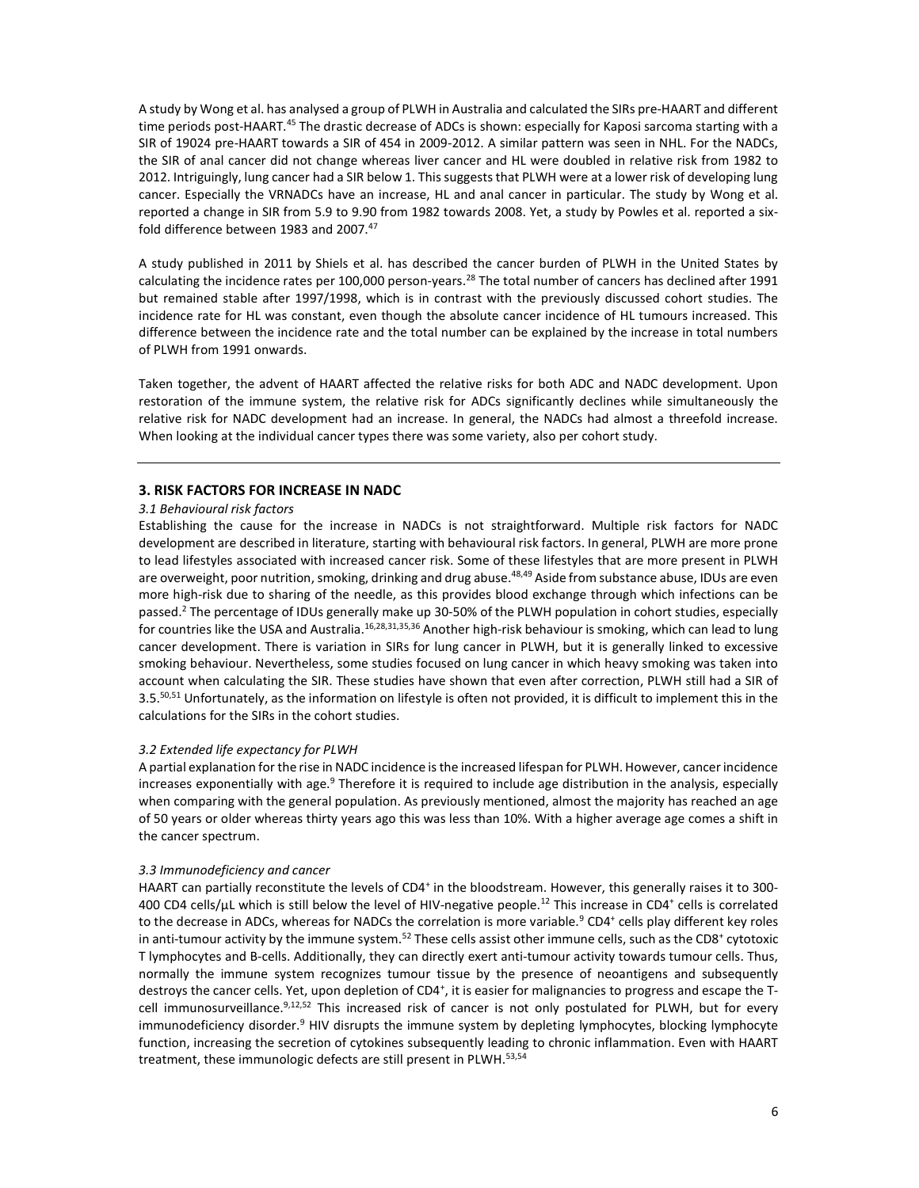A study by Wong et al. has analysed a group of PLWH in Australia and calculated the SIRs pre-HAART and different time periods post-HAART.<sup>45</sup> The drastic decrease of ADCs is shown: especially for Kaposi sarcoma starting with a SIR of 19024 pre-HAART towards a SIR of 454 in 2009-2012. A similar pattern was seen in NHL. For the NADCs, the SIR of anal cancer did not change whereas liver cancer and HL were doubled in relative risk from 1982 to 2012. Intriguingly, lung cancer had a SIR below 1. This suggests that PLWH were at a lower risk of developing lung cancer. Especially the VRNADCs have an increase, HL and anal cancer in particular. The study by Wong et al. reported a change in SIR from 5.9 to 9.90 from 1982 towards 2008. Yet, a study by Powles et al. reported a sixfold difference between 1983 and 2007.<sup>47</sup>

A study published in 2011 by Shiels et al. has described the cancer burden of PLWH in the United States by calculating the incidence rates per 100,000 person-years.<sup>28</sup> The total number of cancers has declined after 1991 but remained stable after 1997/1998, which is in contrast with the previously discussed cohort studies. The incidence rate for HL was constant, even though the absolute cancer incidence of HL tumours increased. This difference between the incidence rate and the total number can be explained by the increase in total numbers of PLWH from 1991 onwards.

Taken together, the advent of HAART affected the relative risks for both ADC and NADC development. Upon restoration of the immune system, the relative risk for ADCs significantly declines while simultaneously the relative risk for NADC development had an increase. In general, the NADCs had almost a threefold increase. When looking at the individual cancer types there was some variety, also per cohort study.

#### 3. RISK FACTORS FOR INCREASE IN NADC

#### 3.1 Behavioural risk factors

Establishing the cause for the increase in NADCs is not straightforward. Multiple risk factors for NADC development are described in literature, starting with behavioural risk factors. In general, PLWH are more prone to lead lifestyles associated with increased cancer risk. Some of these lifestyles that are more present in PLWH are overweight, poor nutrition, smoking, drinking and drug abuse.<sup>48,49</sup> Aside from substance abuse, IDUs are even more high-risk due to sharing of the needle, as this provides blood exchange through which infections can be passed.<sup>2</sup> The percentage of IDUs generally make up 30-50% of the PLWH population in cohort studies, especially for countries like the USA and Australia.16,28,31,35,36 Another high-risk behaviour is smoking, which can lead to lung cancer development. There is variation in SIRs for lung cancer in PLWH, but it is generally linked to excessive smoking behaviour. Nevertheless, some studies focused on lung cancer in which heavy smoking was taken into account when calculating the SIR. These studies have shown that even after correction, PLWH still had a SIR of 3.5.<sup>50,51</sup> Unfortunately, as the information on lifestyle is often not provided, it is difficult to implement this in the calculations for the SIRs in the cohort studies.

#### 3.2 Extended life expectancy for PLWH

A partial explanation for the rise in NADC incidence is the increased lifespan for PLWH. However, cancer incidence increases exponentially with age.<sup>9</sup> Therefore it is required to include age distribution in the analysis, especially when comparing with the general population. As previously mentioned, almost the majority has reached an age of 50 years or older whereas thirty years ago this was less than 10%. With a higher average age comes a shift in the cancer spectrum.

#### 3.3 Immunodeficiency and cancer

HAART can partially reconstitute the levels of CD4<sup>+</sup> in the bloodstream. However, this generally raises it to 300-400 CD4 cells/ $\mu$ L which is still below the level of HIV-negative people.<sup>12</sup> This increase in CD4<sup>+</sup> cells is correlated to the decrease in ADCs, whereas for NADCs the correlation is more variable.<sup>9</sup> CD4<sup>+</sup> cells play different key roles in anti-tumour activity by the immune system. $^{52}$  These cells assist other immune cells, such as the CD8<sup>+</sup> cytotoxic T lymphocytes and B-cells. Additionally, they can directly exert anti-tumour activity towards tumour cells. Thus, normally the immune system recognizes tumour tissue by the presence of neoantigens and subsequently destroys the cancer cells. Yet, upon depletion of CD4<sup>+</sup>, it is easier for malignancies to progress and escape the Tcell immunosurveillance.<sup>9,12,52</sup> This increased risk of cancer is not only postulated for PLWH, but for every immunodeficiency disorder.<sup>9</sup> HIV disrupts the immune system by depleting lymphocytes, blocking lymphocyte function, increasing the secretion of cytokines subsequently leading to chronic inflammation. Even with HAART treatment, these immunologic defects are still present in PLWH.<sup>53,54</sup>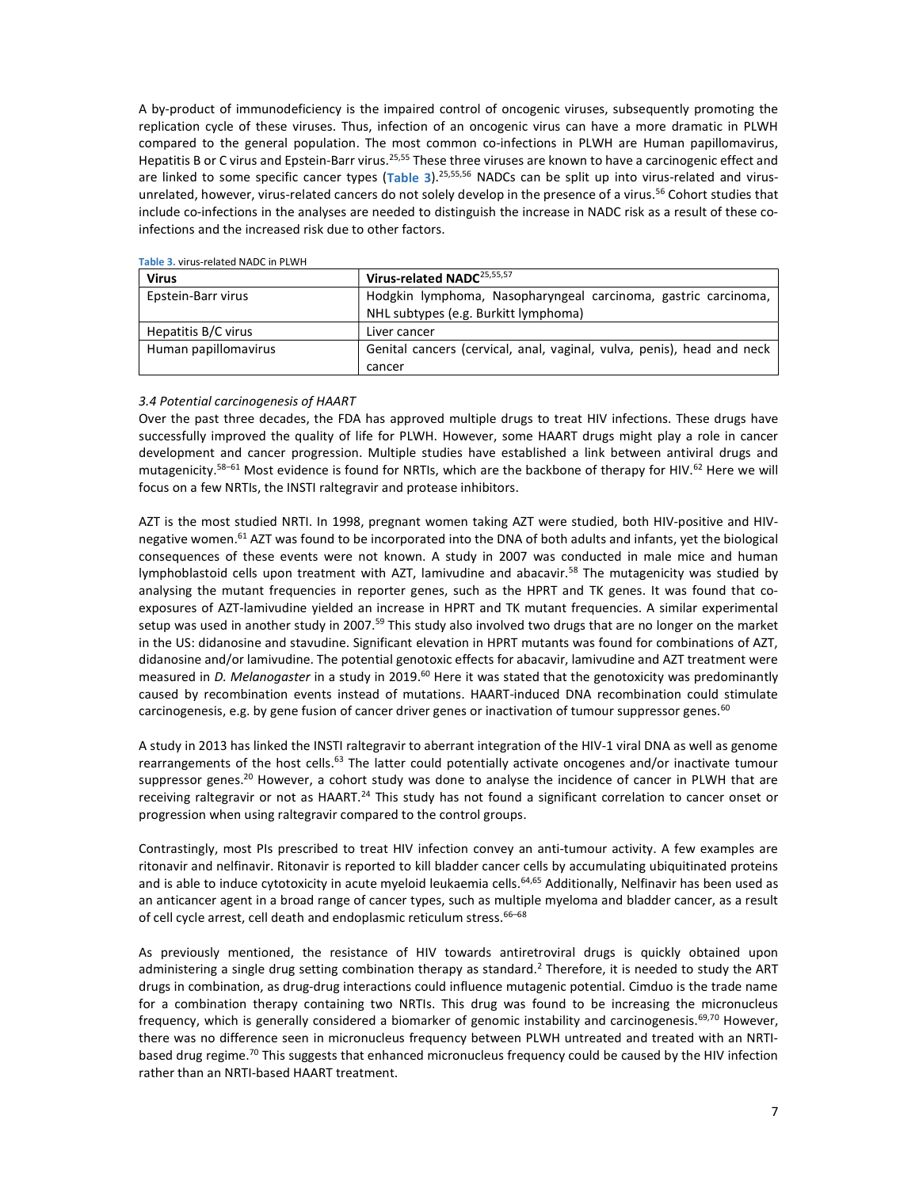A by-product of immunodeficiency is the impaired control of oncogenic viruses, subsequently promoting the replication cycle of these viruses. Thus, infection of an oncogenic virus can have a more dramatic in PLWH compared to the general population. The most common co-infections in PLWH are Human papillomavirus, Hepatitis B or C virus and Epstein-Barr virus.<sup>25,55</sup> These three viruses are known to have a carcinogenic effect and are linked to some specific cancer types (Table 3).<sup>25,55,56</sup> NADCs can be split up into virus-related and virusunrelated, however, virus-related cancers do not solely develop in the presence of a virus.<sup>56</sup> Cohort studies that include co-infections in the analyses are needed to distinguish the increase in NADC risk as a result of these coinfections and the increased risk due to other factors.

| Virus                | Virus-related NADC <sup>25,55,57</sup>                                 |
|----------------------|------------------------------------------------------------------------|
| Epstein-Barr virus   | Hodgkin lymphoma, Nasopharyngeal carcinoma, gastric carcinoma,         |
|                      | NHL subtypes (e.g. Burkitt lymphoma)                                   |
| Hepatitis B/C virus  | Liver cancer                                                           |
| Human papillomavirus | Genital cancers (cervical, anal, vaginal, vulva, penis), head and neck |
|                      | cancer                                                                 |

#### Table 3. virus-related NADC in PLWH

## 3.4 Potential carcinogenesis of HAART

Over the past three decades, the FDA has approved multiple drugs to treat HIV infections. These drugs have successfully improved the quality of life for PLWH. However, some HAART drugs might play a role in cancer development and cancer progression. Multiple studies have established a link between antiviral drugs and mutagenicity.<sup>58–61</sup> Most evidence is found for NRTIs, which are the backbone of therapy for HIV.<sup>62</sup> Here we will focus on a few NRTIs, the INSTI raltegravir and protease inhibitors.

AZT is the most studied NRTI. In 1998, pregnant women taking AZT were studied, both HIV-positive and HIVnegative women.<sup>61</sup> AZT was found to be incorporated into the DNA of both adults and infants, yet the biological consequences of these events were not known. A study in 2007 was conducted in male mice and human lymphoblastoid cells upon treatment with AZT, lamivudine and abacavir.<sup>58</sup> The mutagenicity was studied by analysing the mutant frequencies in reporter genes, such as the HPRT and TK genes. It was found that coexposures of AZT-lamivudine yielded an increase in HPRT and TK mutant frequencies. A similar experimental setup was used in another study in 2007.<sup>59</sup> This study also involved two drugs that are no longer on the market in the US: didanosine and stavudine. Significant elevation in HPRT mutants was found for combinations of AZT, didanosine and/or lamivudine. The potential genotoxic effects for abacavir, lamivudine and AZT treatment were measured in D. Melanogaster in a study in 2019.<sup>60</sup> Here it was stated that the genotoxicity was predominantly caused by recombination events instead of mutations. HAART-induced DNA recombination could stimulate carcinogenesis, e.g. by gene fusion of cancer driver genes or inactivation of tumour suppressor genes.<sup>60</sup>

A study in 2013 has linked the INSTI raltegravir to aberrant integration of the HIV-1 viral DNA as well as genome rearrangements of the host cells.<sup>63</sup> The latter could potentially activate oncogenes and/or inactivate tumour suppressor genes.<sup>20</sup> However, a cohort study was done to analyse the incidence of cancer in PLWH that are receiving raltegravir or not as HAART.<sup>24</sup> This study has not found a significant correlation to cancer onset or progression when using raltegravir compared to the control groups.

Contrastingly, most PIs prescribed to treat HIV infection convey an anti-tumour activity. A few examples are ritonavir and nelfinavir. Ritonavir is reported to kill bladder cancer cells by accumulating ubiquitinated proteins and is able to induce cytotoxicity in acute myeloid leukaemia cells.<sup>64,65</sup> Additionally, Nelfinavir has been used as an anticancer agent in a broad range of cancer types, such as multiple myeloma and bladder cancer, as a result of cell cycle arrest, cell death and endoplasmic reticulum stress. 66-68

As previously mentioned, the resistance of HIV towards antiretroviral drugs is quickly obtained upon administering a single drug setting combination therapy as standard.<sup>2</sup> Therefore, it is needed to study the ART drugs in combination, as drug-drug interactions could influence mutagenic potential. Cimduo is the trade name for a combination therapy containing two NRTIs. This drug was found to be increasing the micronucleus frequency, which is generally considered a biomarker of genomic instability and carcinogenesis.<sup>69,70</sup> However, there was no difference seen in micronucleus frequency between PLWH untreated and treated with an NRTIbased drug regime.<sup>70</sup> This suggests that enhanced micronucleus frequency could be caused by the HIV infection rather than an NRTI-based HAART treatment.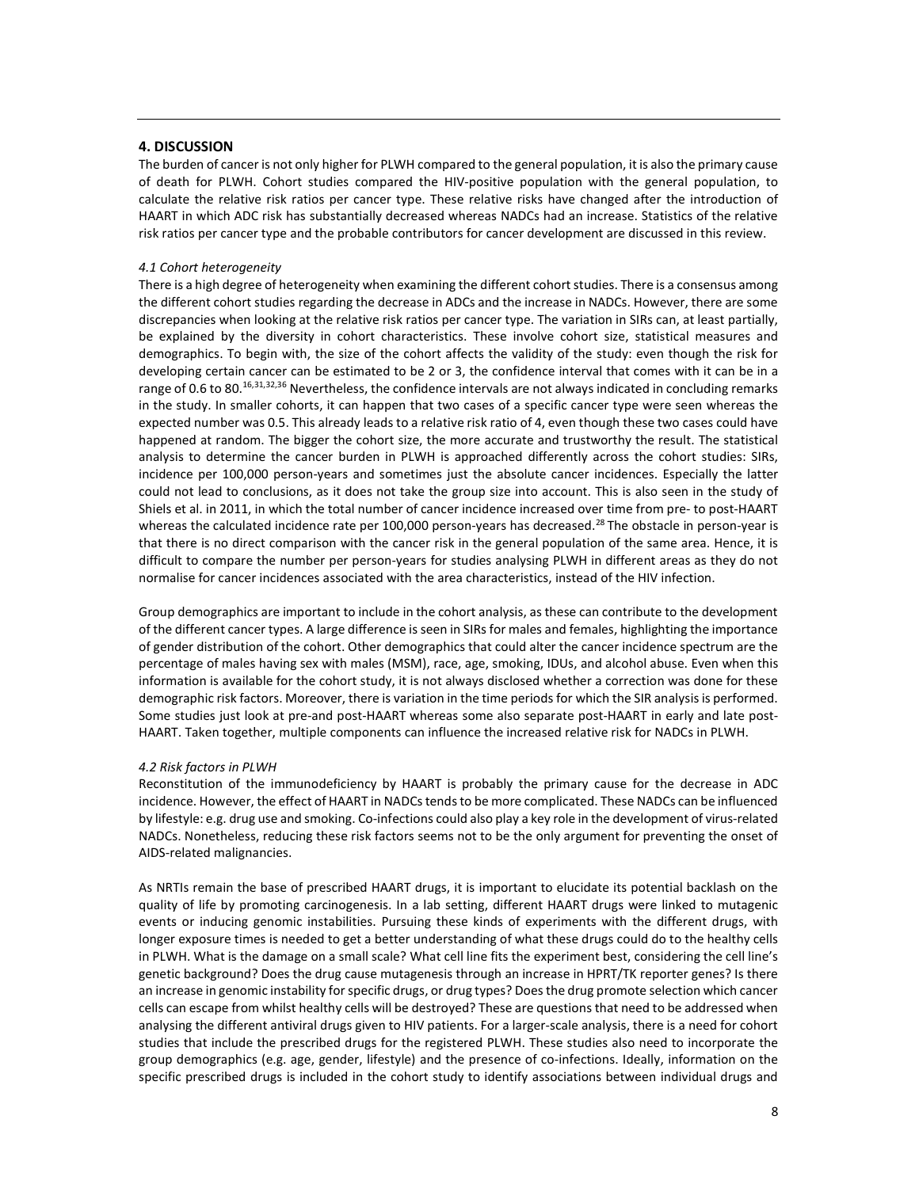# 4. DISCUSSION

The burden of cancer is not only higher for PLWH compared to the general population, it is also the primary cause of death for PLWH. Cohort studies compared the HIV-positive population with the general population, to calculate the relative risk ratios per cancer type. These relative risks have changed after the introduction of HAART in which ADC risk has substantially decreased whereas NADCs had an increase. Statistics of the relative risk ratios per cancer type and the probable contributors for cancer development are discussed in this review.

#### 4.1 Cohort heterogeneity

There is a high degree of heterogeneity when examining the different cohort studies. There is a consensus among the different cohort studies regarding the decrease in ADCs and the increase in NADCs. However, there are some discrepancies when looking at the relative risk ratios per cancer type. The variation in SIRs can, at least partially, be explained by the diversity in cohort characteristics. These involve cohort size, statistical measures and demographics. To begin with, the size of the cohort affects the validity of the study: even though the risk for developing certain cancer can be estimated to be 2 or 3, the confidence interval that comes with it can be in a range of 0.6 to 80.<sup>16,31,32,36</sup> Nevertheless, the confidence intervals are not always indicated in concluding remarks in the study. In smaller cohorts, it can happen that two cases of a specific cancer type were seen whereas the expected number was 0.5. This already leads to a relative risk ratio of 4, even though these two cases could have happened at random. The bigger the cohort size, the more accurate and trustworthy the result. The statistical analysis to determine the cancer burden in PLWH is approached differently across the cohort studies: SIRs, incidence per 100,000 person-years and sometimes just the absolute cancer incidences. Especially the latter could not lead to conclusions, as it does not take the group size into account. This is also seen in the study of Shiels et al. in 2011, in which the total number of cancer incidence increased over time from pre- to post-HAART whereas the calculated incidence rate per 100,000 person-years has decreased.<sup>28</sup> The obstacle in person-year is that there is no direct comparison with the cancer risk in the general population of the same area. Hence, it is difficult to compare the number per person-years for studies analysing PLWH in different areas as they do not normalise for cancer incidences associated with the area characteristics, instead of the HIV infection.

Group demographics are important to include in the cohort analysis, as these can contribute to the development of the different cancer types. A large difference is seen in SIRs for males and females, highlighting the importance of gender distribution of the cohort. Other demographics that could alter the cancer incidence spectrum are the percentage of males having sex with males (MSM), race, age, smoking, IDUs, and alcohol abuse. Even when this information is available for the cohort study, it is not always disclosed whether a correction was done for these demographic risk factors. Moreover, there is variation in the time periods for which the SIR analysis is performed. Some studies just look at pre-and post-HAART whereas some also separate post-HAART in early and late post-HAART. Taken together, multiple components can influence the increased relative risk for NADCs in PLWH.

#### 4.2 Risk factors in PLWH

Reconstitution of the immunodeficiency by HAART is probably the primary cause for the decrease in ADC incidence. However, the effect of HAART in NADCs tends to be more complicated. These NADCs can be influenced by lifestyle: e.g. drug use and smoking. Co-infections could also play a key role in the development of virus-related NADCs. Nonetheless, reducing these risk factors seems not to be the only argument for preventing the onset of AIDS-related malignancies.

As NRTIs remain the base of prescribed HAART drugs, it is important to elucidate its potential backlash on the quality of life by promoting carcinogenesis. In a lab setting, different HAART drugs were linked to mutagenic events or inducing genomic instabilities. Pursuing these kinds of experiments with the different drugs, with longer exposure times is needed to get a better understanding of what these drugs could do to the healthy cells in PLWH. What is the damage on a small scale? What cell line fits the experiment best, considering the cell line's genetic background? Does the drug cause mutagenesis through an increase in HPRT/TK reporter genes? Is there an increase in genomic instability for specific drugs, or drug types? Does the drug promote selection which cancer cells can escape from whilst healthy cells will be destroyed? These are questions that need to be addressed when analysing the different antiviral drugs given to HIV patients. For a larger-scale analysis, there is a need for cohort studies that include the prescribed drugs for the registered PLWH. These studies also need to incorporate the group demographics (e.g. age, gender, lifestyle) and the presence of co-infections. Ideally, information on the specific prescribed drugs is included in the cohort study to identify associations between individual drugs and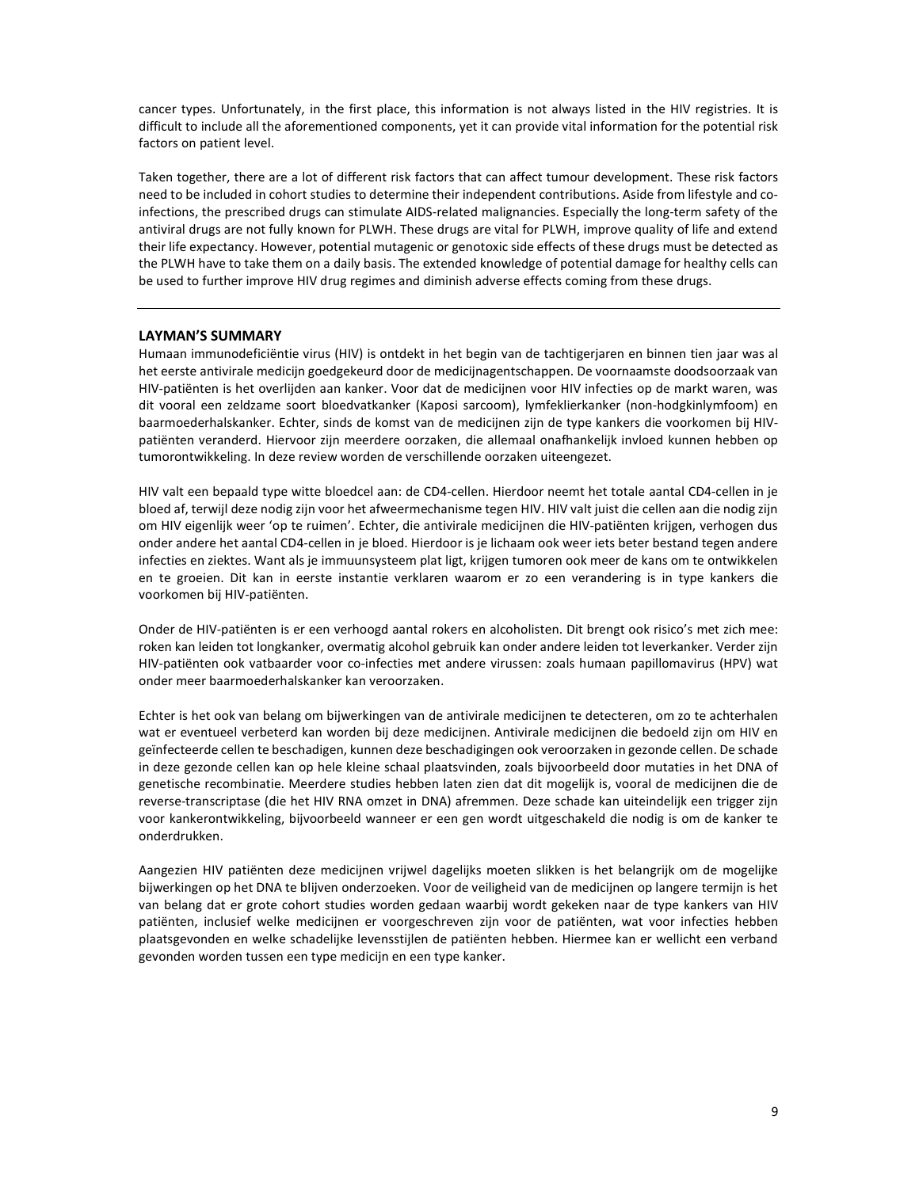cancer types. Unfortunately, in the first place, this information is not always listed in the HIV registries. It is difficult to include all the aforementioned components, yet it can provide vital information for the potential risk factors on patient level.

Taken together, there are a lot of different risk factors that can affect tumour development. These risk factors need to be included in cohort studies to determine their independent contributions. Aside from lifestyle and coinfections, the prescribed drugs can stimulate AIDS-related malignancies. Especially the long-term safety of the antiviral drugs are not fully known for PLWH. These drugs are vital for PLWH, improve quality of life and extend their life expectancy. However, potential mutagenic or genotoxic side effects of these drugs must be detected as the PLWH have to take them on a daily basis. The extended knowledge of potential damage for healthy cells can be used to further improve HIV drug regimes and diminish adverse effects coming from these drugs.

## LAYMAN'S SUMMARY

Humaan immunodeficiëntie virus (HIV) is ontdekt in het begin van de tachtigerjaren en binnen tien jaar was al het eerste antivirale medicijn goedgekeurd door de medicijnagentschappen. De voornaamste doodsoorzaak van HIV-patiënten is het overlijden aan kanker. Voor dat de medicijnen voor HIV infecties op de markt waren, was dit vooral een zeldzame soort bloedvatkanker (Kaposi sarcoom), lymfeklierkanker (non-hodgkinlymfoom) en baarmoederhalskanker. Echter, sinds de komst van de medicijnen zijn de type kankers die voorkomen bij HIVpatiënten veranderd. Hiervoor zijn meerdere oorzaken, die allemaal onafhankelijk invloed kunnen hebben op tumorontwikkeling. In deze review worden de verschillende oorzaken uiteengezet.

HIV valt een bepaald type witte bloedcel aan: de CD4-cellen. Hierdoor neemt het totale aantal CD4-cellen in je bloed af, terwijl deze nodig zijn voor het afweermechanisme tegen HIV. HIV valt juist die cellen aan die nodig zijn om HIV eigenlijk weer 'op te ruimen'. Echter, die antivirale medicijnen die HIV-patiënten krijgen, verhogen dus onder andere het aantal CD4-cellen in je bloed. Hierdoor is je lichaam ook weer iets beter bestand tegen andere infecties en ziektes. Want als je immuunsysteem plat ligt, krijgen tumoren ook meer de kans om te ontwikkelen en te groeien. Dit kan in eerste instantie verklaren waarom er zo een verandering is in type kankers die voorkomen bij HIV-patiënten.

Onder de HIV-patiënten is er een verhoogd aantal rokers en alcoholisten. Dit brengt ook risico's met zich mee: roken kan leiden tot longkanker, overmatig alcohol gebruik kan onder andere leiden tot leverkanker. Verder zijn HIV-patiënten ook vatbaarder voor co-infecties met andere virussen: zoals humaan papillomavirus (HPV) wat onder meer baarmoederhalskanker kan veroorzaken.

Echter is het ook van belang om bijwerkingen van de antivirale medicijnen te detecteren, om zo te achterhalen wat er eventueel verbeterd kan worden bij deze medicijnen. Antivirale medicijnen die bedoeld zijn om HIV en geïnfecteerde cellen te beschadigen, kunnen deze beschadigingen ook veroorzaken in gezonde cellen. De schade in deze gezonde cellen kan op hele kleine schaal plaatsvinden, zoals bijvoorbeeld door mutaties in het DNA of genetische recombinatie. Meerdere studies hebben laten zien dat dit mogelijk is, vooral de medicijnen die de reverse-transcriptase (die het HIV RNA omzet in DNA) afremmen. Deze schade kan uiteindelijk een trigger zijn voor kankerontwikkeling, bijvoorbeeld wanneer er een gen wordt uitgeschakeld die nodig is om de kanker te onderdrukken.

Aangezien HIV patiënten deze medicijnen vrijwel dagelijks moeten slikken is het belangrijk om de mogelijke bijwerkingen op het DNA te blijven onderzoeken. Voor de veiligheid van de medicijnen op langere termijn is het van belang dat er grote cohort studies worden gedaan waarbij wordt gekeken naar de type kankers van HIV patiënten, inclusief welke medicijnen er voorgeschreven zijn voor de patiënten, wat voor infecties hebben plaatsgevonden en welke schadelijke levensstijlen de patiënten hebben. Hiermee kan er wellicht een verband gevonden worden tussen een type medicijn en een type kanker.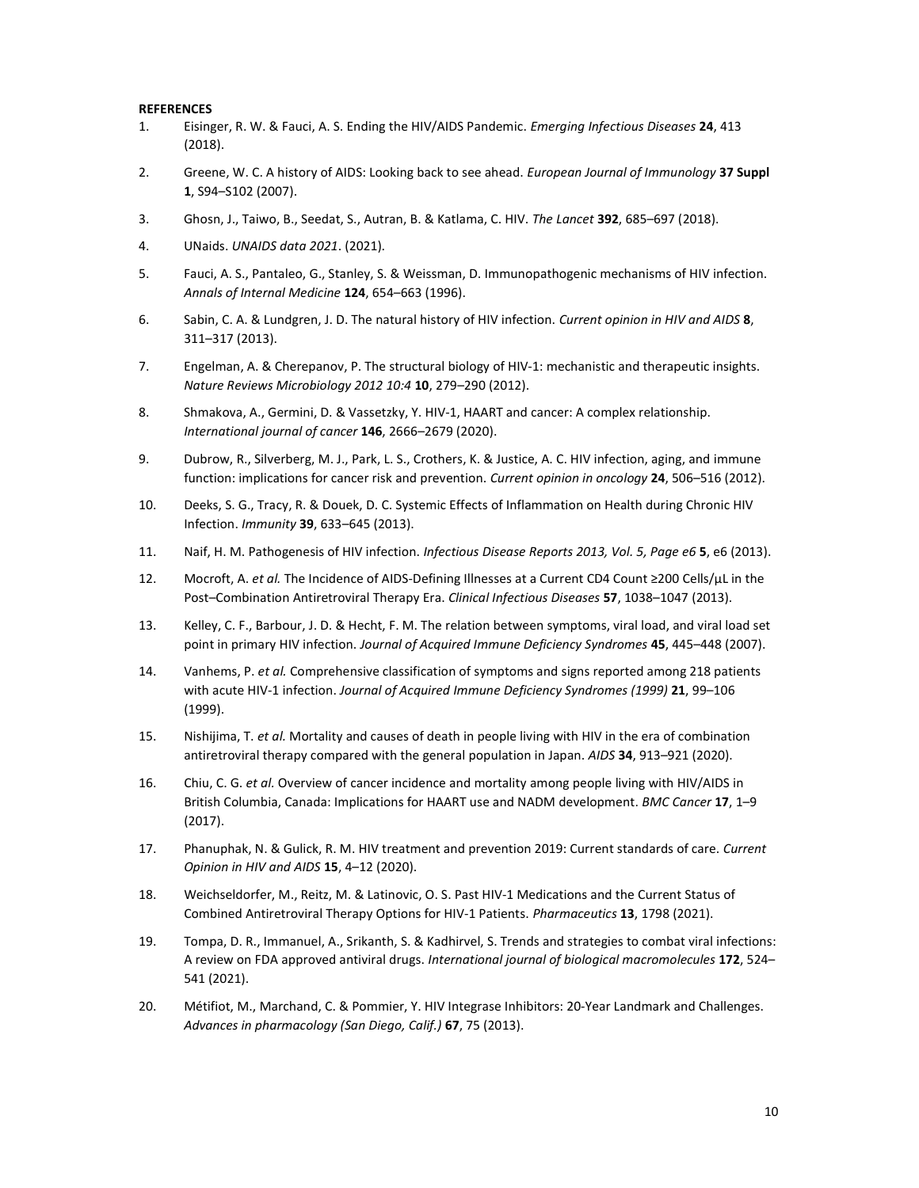#### REFERENCES

- 1. Eisinger, R. W. & Fauci, A. S. Ending the HIV/AIDS Pandemic. Emerging Infectious Diseases 24, 413 (2018).
- 2. Greene, W. C. A history of AIDS: Looking back to see ahead. European Journal of Immunology 37 Suppl 1, S94–S102 (2007).
- 3. Ghosn, J., Taiwo, B., Seedat, S., Autran, B. & Katlama, C. HIV. The Lancet 392, 685–697 (2018).
- 4. UNaids. UNAIDS data 2021. (2021).
- 5. Fauci, A. S., Pantaleo, G., Stanley, S. & Weissman, D. Immunopathogenic mechanisms of HIV infection. Annals of Internal Medicine 124, 654-663 (1996).
- 6. Sabin, C. A. & Lundgren, J. D. The natural history of HIV infection. Current opinion in HIV and AIDS 8, 311–317 (2013).
- 7. Engelman, A. & Cherepanov, P. The structural biology of HIV-1: mechanistic and therapeutic insights. Nature Reviews Microbiology 2012 10:4 10, 279–290 (2012).
- 8. Shmakova, A., Germini, D. & Vassetzky, Y. HIV-1, HAART and cancer: A complex relationship. International journal of cancer 146, 2666–2679 (2020).
- 9. Dubrow, R., Silverberg, M. J., Park, L. S., Crothers, K. & Justice, A. C. HIV infection, aging, and immune function: implications for cancer risk and prevention. Current opinion in oncology 24, 506-516 (2012).
- 10. Deeks, S. G., Tracy, R. & Douek, D. C. Systemic Effects of Inflammation on Health during Chronic HIV Infection. Immunity 39, 633–645 (2013).
- 11. Naif, H. M. Pathogenesis of HIV infection. Infectious Disease Reports 2013, Vol. 5, Page e6 5, e6 (2013).
- 12. Mocroft, A. et al. The Incidence of AIDS-Defining Illnesses at a Current CD4 Count ≥200 Cells/µL in the Post–Combination Antiretroviral Therapy Era. Clinical Infectious Diseases 57, 1038–1047 (2013).
- 13. Kelley, C. F., Barbour, J. D. & Hecht, F. M. The relation between symptoms, viral load, and viral load set point in primary HIV infection. Journal of Acquired Immune Deficiency Syndromes 45, 445–448 (2007).
- 14. Vanhems, P. et al. Comprehensive classification of symptoms and signs reported among 218 patients with acute HIV-1 infection. Journal of Acquired Immune Deficiency Syndromes (1999) 21, 99-106 (1999).
- 15. Nishijima, T. et al. Mortality and causes of death in people living with HIV in the era of combination antiretroviral therapy compared with the general population in Japan. AIDS 34, 913–921 (2020).
- 16. Chiu, C. G. et al. Overview of cancer incidence and mortality among people living with HIV/AIDS in British Columbia, Canada: Implications for HAART use and NADM development. BMC Cancer 17, 1–9 (2017).
- 17. Phanuphak, N. & Gulick, R. M. HIV treatment and prevention 2019: Current standards of care. Current Opinion in HIV and AIDS 15, 4–12 (2020).
- 18. Weichseldorfer, M., Reitz, M. & Latinovic, O. S. Past HIV-1 Medications and the Current Status of Combined Antiretroviral Therapy Options for HIV-1 Patients. Pharmaceutics 13, 1798 (2021).
- 19. Tompa, D. R., Immanuel, A., Srikanth, S. & Kadhirvel, S. Trends and strategies to combat viral infections: A review on FDA approved antiviral drugs. International journal of biological macromolecules 172, 524– 541 (2021).
- 20. Métifiot, M., Marchand, C. & Pommier, Y. HIV Integrase Inhibitors: 20-Year Landmark and Challenges. Advances in pharmacology (San Diego, Calif.) 67, 75 (2013).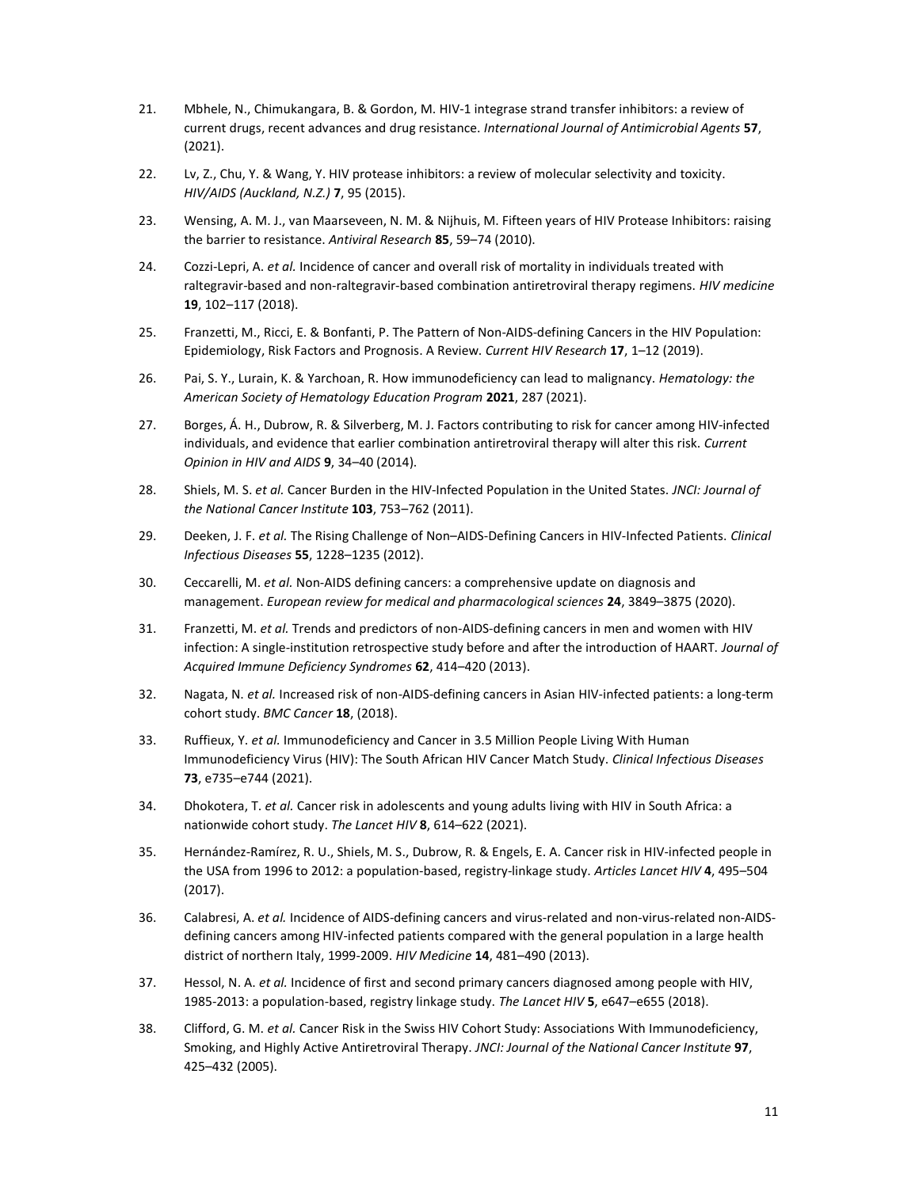- 21. Mbhele, N., Chimukangara, B. & Gordon, M. HIV-1 integrase strand transfer inhibitors: a review of current drugs, recent advances and drug resistance. International Journal of Antimicrobial Agents 57, (2021).
- 22. Lv, Z., Chu, Y. & Wang, Y. HIV protease inhibitors: a review of molecular selectivity and toxicity. HIV/AIDS (Auckland, N.Z.) 7, 95 (2015).
- 23. Wensing, A. M. J., van Maarseveen, N. M. & Nijhuis, M. Fifteen years of HIV Protease Inhibitors: raising the barrier to resistance. Antiviral Research 85, 59-74 (2010).
- 24. Cozzi-Lepri, A. et al. Incidence of cancer and overall risk of mortality in individuals treated with raltegravir-based and non-raltegravir-based combination antiretroviral therapy regimens. HIV medicine 19, 102–117 (2018).
- 25. Franzetti, M., Ricci, E. & Bonfanti, P. The Pattern of Non-AIDS-defining Cancers in the HIV Population: Epidemiology, Risk Factors and Prognosis. A Review. Current HIV Research 17, 1–12 (2019).
- 26. Pai, S. Y., Lurain, K. & Yarchoan, R. How immunodeficiency can lead to malignancy. Hematology: the American Society of Hematology Education Program 2021, 287 (2021).
- 27. Borges, Á. H., Dubrow, R. & Silverberg, M. J. Factors contributing to risk for cancer among HIV-infected individuals, and evidence that earlier combination antiretroviral therapy will alter this risk. Current Opinion in HIV and AIDS 9, 34–40 (2014).
- 28. Shiels, M. S. et al. Cancer Burden in the HIV-Infected Population in the United States. JNCI: Journal of the National Cancer Institute 103, 753-762 (2011).
- 29. Deeken, J. F. et al. The Rising Challenge of Non-AIDS-Defining Cancers in HIV-Infected Patients. Clinical Infectious Diseases 55, 1228–1235 (2012).
- 30. Ceccarelli, M. et al. Non-AIDS defining cancers: a comprehensive update on diagnosis and management. European review for medical and pharmacological sciences 24, 3849–3875 (2020).
- 31. Franzetti, M. et al. Trends and predictors of non-AIDS-defining cancers in men and women with HIV infection: A single-institution retrospective study before and after the introduction of HAART. Journal of Acquired Immune Deficiency Syndromes 62, 414–420 (2013).
- 32. Nagata, N. et al. Increased risk of non-AIDS-defining cancers in Asian HIV-infected patients: a long-term cohort study. BMC Cancer 18, (2018).
- 33. Ruffieux, Y. et al. Immunodeficiency and Cancer in 3.5 Million People Living With Human Immunodeficiency Virus (HIV): The South African HIV Cancer Match Study. Clinical Infectious Diseases 73, e735–e744 (2021).
- 34. Dhokotera, T. et al. Cancer risk in adolescents and young adults living with HIV in South Africa: a nationwide cohort study. The Lancet HIV 8, 614–622 (2021).
- 35. Hernández-Ramírez, R. U., Shiels, M. S., Dubrow, R. & Engels, E. A. Cancer risk in HIV-infected people in the USA from 1996 to 2012: a population-based, registry-linkage study. Articles Lancet HIV 4, 495-504 (2017).
- 36. Calabresi, A. et al. Incidence of AIDS-defining cancers and virus-related and non-virus-related non-AIDSdefining cancers among HIV-infected patients compared with the general population in a large health district of northern Italy, 1999-2009. HIV Medicine 14, 481–490 (2013).
- 37. Hessol, N. A. et al. Incidence of first and second primary cancers diagnosed among people with HIV, 1985-2013: a population-based, registry linkage study. The Lancet HIV 5, e647–e655 (2018).
- 38. Clifford, G. M. et al. Cancer Risk in the Swiss HIV Cohort Study: Associations With Immunodeficiency, Smoking, and Highly Active Antiretroviral Therapy. JNCI: Journal of the National Cancer Institute 97, 425–432 (2005).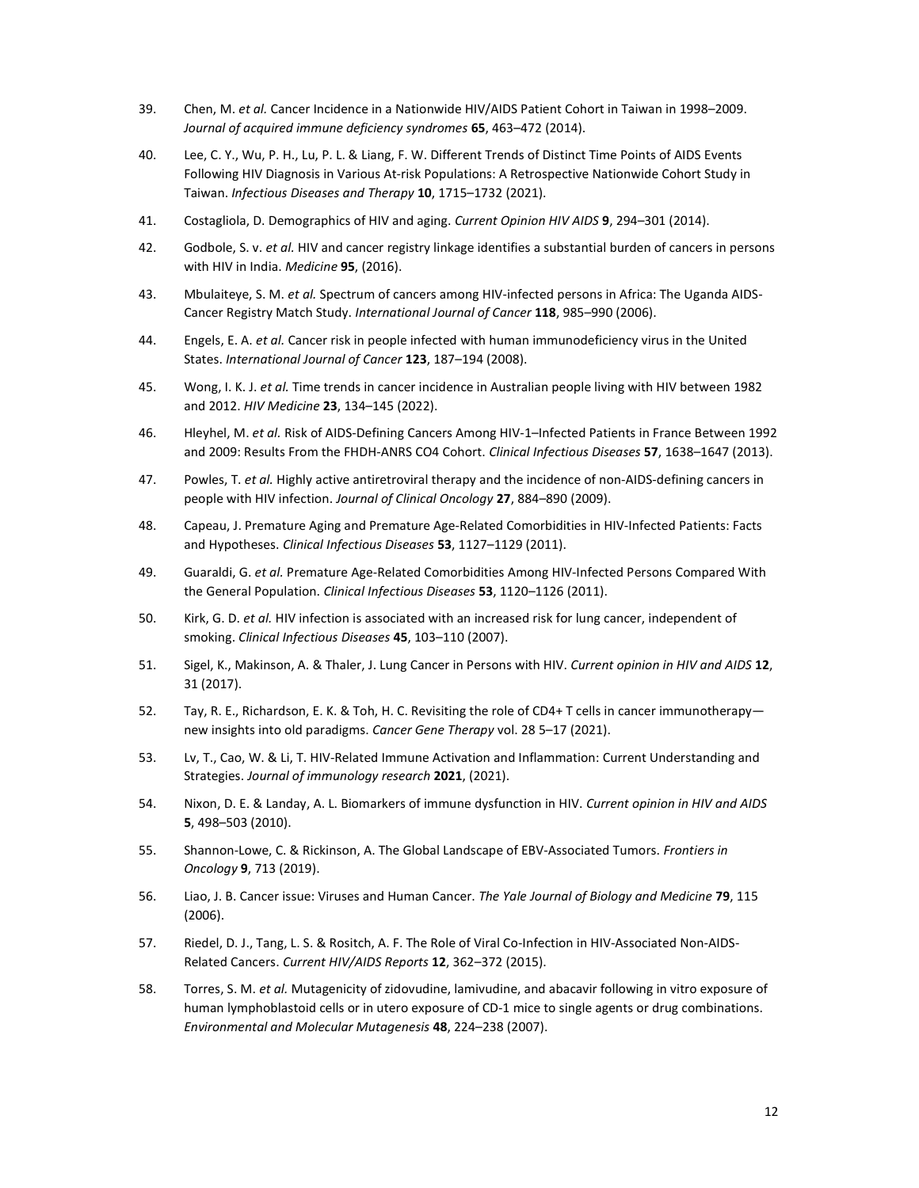- 39. Chen, M. et al. Cancer Incidence in a Nationwide HIV/AIDS Patient Cohort in Taiwan in 1998–2009. Journal of acquired immune deficiency syndromes 65, 463–472 (2014).
- 40. Lee, C. Y., Wu, P. H., Lu, P. L. & Liang, F. W. Different Trends of Distinct Time Points of AIDS Events Following HIV Diagnosis in Various At-risk Populations: A Retrospective Nationwide Cohort Study in Taiwan. Infectious Diseases and Therapy 10, 1715–1732 (2021).
- 41. Costagliola, D. Demographics of HIV and aging. Current Opinion HIV AIDS 9, 294–301 (2014).
- 42. Godbole, S. v. et al. HIV and cancer registry linkage identifies a substantial burden of cancers in persons with HIV in India. Medicine 95, (2016).
- 43. Mbulaiteye, S. M. et al. Spectrum of cancers among HIV-infected persons in Africa: The Uganda AIDS-Cancer Registry Match Study. International Journal of Cancer 118, 985–990 (2006).
- 44. Engels, E. A. et al. Cancer risk in people infected with human immunodeficiency virus in the United States. International Journal of Cancer 123, 187–194 (2008).
- 45. Wong, I. K. J. et al. Time trends in cancer incidence in Australian people living with HIV between 1982 and 2012. HIV Medicine 23, 134–145 (2022).
- 46. Hleyhel, M. et al. Risk of AIDS-Defining Cancers Among HIV-1-Infected Patients in France Between 1992 and 2009: Results From the FHDH-ANRS CO4 Cohort. Clinical Infectious Diseases 57, 1638–1647 (2013).
- 47. Powles, T. et al. Highly active antiretroviral therapy and the incidence of non-AIDS-defining cancers in people with HIV infection. Journal of Clinical Oncology 27, 884–890 (2009).
- 48. Capeau, J. Premature Aging and Premature Age-Related Comorbidities in HIV-Infected Patients: Facts and Hypotheses. Clinical Infectious Diseases 53, 1127–1129 (2011).
- 49. Guaraldi, G. et al. Premature Age-Related Comorbidities Among HIV-Infected Persons Compared With the General Population. Clinical Infectious Diseases 53, 1120-1126 (2011).
- 50. Kirk, G. D. et al. HIV infection is associated with an increased risk for lung cancer, independent of smoking. Clinical Infectious Diseases 45, 103–110 (2007).
- 51. Sigel, K., Makinson, A. & Thaler, J. Lung Cancer in Persons with HIV. Current opinion in HIV and AIDS 12, 31 (2017).
- 52. Tay, R. E., Richardson, E. K. & Toh, H. C. Revisiting the role of CD4+ T cells in cancer immunotherapy new insights into old paradigms. Cancer Gene Therapy vol. 28 5–17 (2021).
- 53. Lv, T., Cao, W. & Li, T. HIV-Related Immune Activation and Inflammation: Current Understanding and Strategies. Journal of immunology research 2021, (2021).
- 54. Nixon, D. E. & Landay, A. L. Biomarkers of immune dysfunction in HIV. Current opinion in HIV and AIDS 5, 498–503 (2010).
- 55. Shannon-Lowe, C. & Rickinson, A. The Global Landscape of EBV-Associated Tumors. Frontiers in Oncology 9, 713 (2019).
- 56. Liao, J. B. Cancer issue: Viruses and Human Cancer. The Yale Journal of Biology and Medicine 79, 115 (2006).
- 57. Riedel, D. J., Tang, L. S. & Rositch, A. F. The Role of Viral Co-Infection in HIV-Associated Non-AIDS-Related Cancers. Current HIV/AIDS Reports 12, 362–372 (2015).
- 58. Torres, S. M. et al. Mutagenicity of zidovudine, lamivudine, and abacavir following in vitro exposure of human lymphoblastoid cells or in utero exposure of CD-1 mice to single agents or drug combinations. Environmental and Molecular Mutagenesis 48, 224–238 (2007).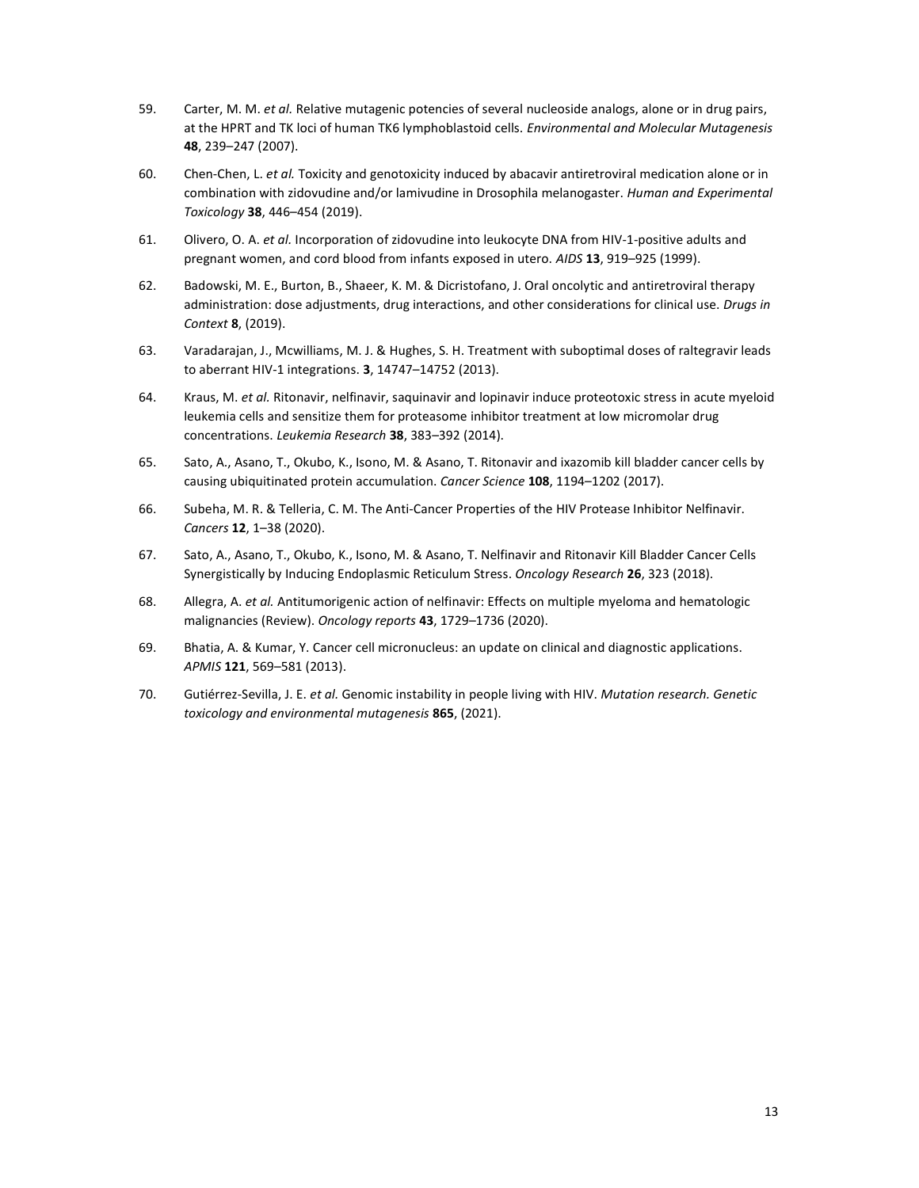- 59. Carter, M. M. et al. Relative mutagenic potencies of several nucleoside analogs, alone or in drug pairs, at the HPRT and TK loci of human TK6 lymphoblastoid cells. Environmental and Molecular Mutagenesis 48, 239–247 (2007).
- 60. Chen-Chen, L. et al. Toxicity and genotoxicity induced by abacavir antiretroviral medication alone or in combination with zidovudine and/or lamivudine in Drosophila melanogaster. Human and Experimental Toxicology 38, 446–454 (2019).
- 61. Olivero, O. A. et al. Incorporation of zidovudine into leukocyte DNA from HIV-1-positive adults and pregnant women, and cord blood from infants exposed in utero. AIDS 13, 919-925 (1999).
- 62. Badowski, M. E., Burton, B., Shaeer, K. M. & Dicristofano, J. Oral oncolytic and antiretroviral therapy administration: dose adjustments, drug interactions, and other considerations for clinical use. Drugs in Context 8, (2019).
- 63. Varadarajan, J., Mcwilliams, M. J. & Hughes, S. H. Treatment with suboptimal doses of raltegravir leads to aberrant HIV-1 integrations. 3, 14747–14752 (2013).
- 64. Kraus, M. et al. Ritonavir, nelfinavir, saquinavir and lopinavir induce proteotoxic stress in acute myeloid leukemia cells and sensitize them for proteasome inhibitor treatment at low micromolar drug concentrations. Leukemia Research 38, 383–392 (2014).
- 65. Sato, A., Asano, T., Okubo, K., Isono, M. & Asano, T. Ritonavir and ixazomib kill bladder cancer cells by causing ubiquitinated protein accumulation. Cancer Science 108, 1194-1202 (2017).
- 66. Subeha, M. R. & Telleria, C. M. The Anti-Cancer Properties of the HIV Protease Inhibitor Nelfinavir. Cancers 12, 1–38 (2020).
- 67. Sato, A., Asano, T., Okubo, K., Isono, M. & Asano, T. Nelfinavir and Ritonavir Kill Bladder Cancer Cells Synergistically by Inducing Endoplasmic Reticulum Stress. Oncology Research 26, 323 (2018).
- 68. Allegra, A. et al. Antitumorigenic action of nelfinavir: Effects on multiple myeloma and hematologic malignancies (Review). Oncology reports 43, 1729–1736 (2020).
- 69. Bhatia, A. & Kumar, Y. Cancer cell micronucleus: an update on clinical and diagnostic applications. APMIS 121, 569–581 (2013).
- 70. Gutiérrez-Sevilla, J. E. et al. Genomic instability in people living with HIV. Mutation research. Genetic toxicology and environmental mutagenesis 865, (2021).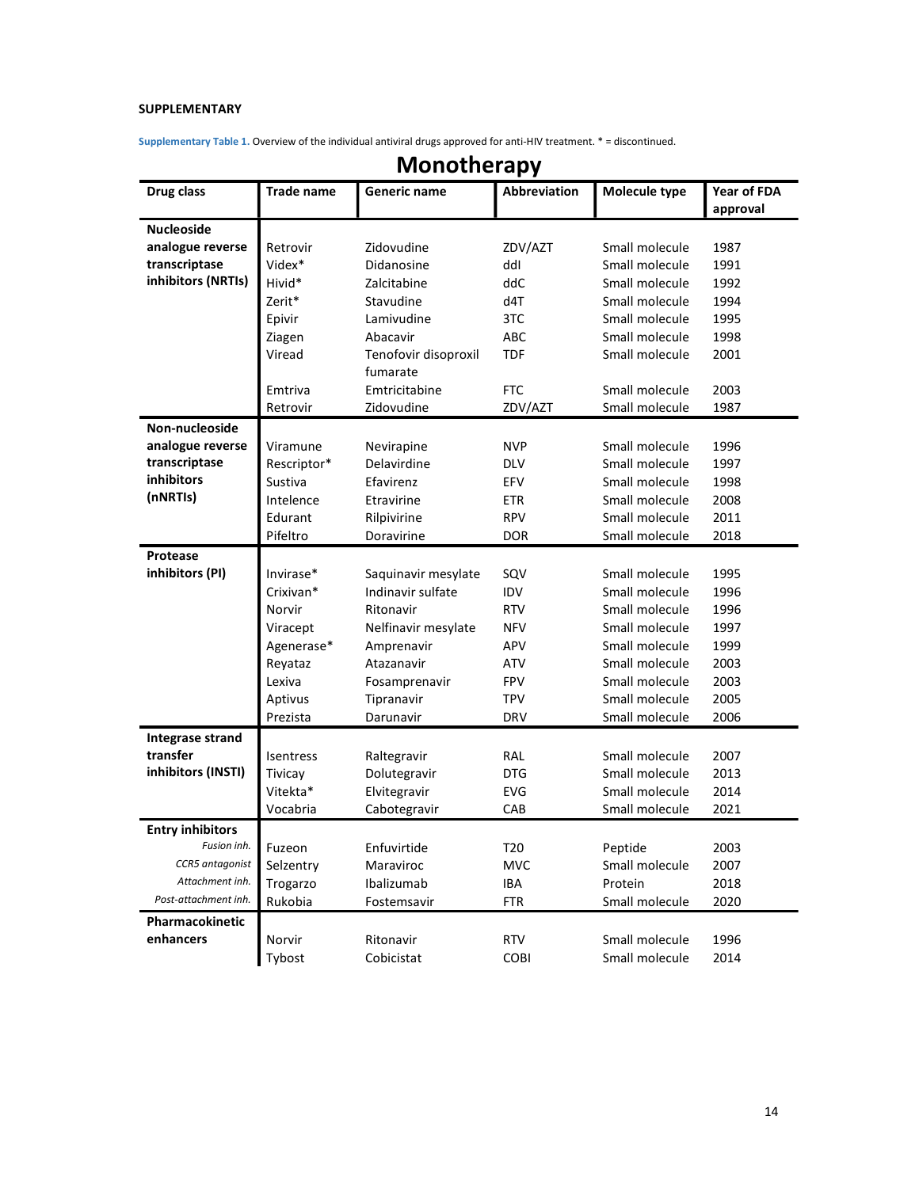# SUPPLEMENTARY

Supplementary Table 1. Overview of the individual antiviral drugs approved for anti-HIV treatment. \* = discontinued.

| Drug class              | <b>Trade name</b> | Generic name         | <b>Abbreviation</b> | Molecule type  | Year of FDA |
|-------------------------|-------------------|----------------------|---------------------|----------------|-------------|
|                         |                   |                      |                     |                | approval    |
| <b>Nucleoside</b>       |                   |                      |                     |                |             |
| analogue reverse        | Retrovir          | Zidovudine           | ZDV/AZT             | Small molecule | 1987        |
| transcriptase           | Videx*            | Didanosine           | ddl                 | Small molecule | 1991        |
| inhibitors (NRTIs)      | Hivid*            | Zalcitabine          | ddC                 | Small molecule | 1992        |
|                         | Zerit*            | Stavudine            | d4T                 | Small molecule | 1994        |
|                         | Epivir            | Lamivudine           | 3TC                 | Small molecule | 1995        |
|                         | Ziagen            | Abacavir             | ABC                 | Small molecule | 1998        |
|                         | Viread            | Tenofovir disoproxil | <b>TDF</b>          | Small molecule | 2001        |
|                         |                   | fumarate             |                     |                |             |
|                         | Emtriva           | Emtricitabine        | <b>FTC</b>          | Small molecule | 2003        |
|                         | Retrovir          | Zidovudine           | ZDV/AZT             | Small molecule | 1987        |
| Non-nucleoside          |                   |                      |                     |                |             |
| analogue reverse        | Viramune          | Nevirapine           | <b>NVP</b>          | Small molecule | 1996        |
| transcriptase           | Rescriptor*       | Delavirdine          | <b>DLV</b>          | Small molecule | 1997        |
| <b>inhibitors</b>       | Sustiva           | Efavirenz            | EFV                 | Small molecule | 1998        |
| (nNRTIs)                | Intelence         | Etravirine           | <b>ETR</b>          | Small molecule | 2008        |
|                         | Edurant           | Rilpivirine          | <b>RPV</b>          | Small molecule | 2011        |
|                         | Pifeltro          | Doravirine           | <b>DOR</b>          | Small molecule | 2018        |
| Protease                |                   |                      |                     |                |             |
| inhibitors (PI)         | Invirase*         | Saquinavir mesylate  | SQV                 | Small molecule | 1995        |
|                         | Crixivan*         | Indinavir sulfate    | <b>IDV</b>          | Small molecule | 1996        |
|                         | Norvir            | Ritonavir            | <b>RTV</b>          | Small molecule | 1996        |
|                         | Viracept          | Nelfinavir mesylate  | <b>NFV</b>          | Small molecule | 1997        |
|                         | Agenerase*        | Amprenavir           | <b>APV</b>          | Small molecule | 1999        |
|                         | Reyataz           | Atazanavir           | <b>ATV</b>          | Small molecule | 2003        |
|                         | Lexiva            | Fosamprenavir        | <b>FPV</b>          | Small molecule | 2003        |
|                         | Aptivus           | Tipranavir           | <b>TPV</b>          | Small molecule | 2005        |
|                         | Prezista          | Darunavir            | <b>DRV</b>          | Small molecule | 2006        |
| Integrase strand        |                   |                      |                     |                |             |
| transfer                | Isentress         | Raltegravir          | RAL                 | Small molecule | 2007        |
| inhibitors (INSTI)      | Tivicay           | Dolutegravir         | <b>DTG</b>          | Small molecule | 2013        |
|                         | Vitekta*          | Elvitegravir         | <b>EVG</b>          | Small molecule | 2014        |
|                         | Vocabria          | Cabotegravir         | CAB                 | Small molecule | 2021        |
| <b>Entry inhibitors</b> |                   |                      |                     |                |             |
| Fusion inh.             | Fuzeon            | Enfuvirtide          | T20                 | Peptide        | 2003        |
| CCR5 antagonist         | Selzentry         | Maraviroc            | <b>MVC</b>          | Small molecule | 2007        |
| Attachment inh.         | Trogarzo          | Ibalizumab           | IBA                 | Protein        | 2018        |
| Post-attachment inh.    | Rukobia           | Fostemsavir          | <b>FTR</b>          | Small molecule | 2020        |
| Pharmacokinetic         |                   |                      |                     |                |             |
| enhancers               | Norvir            | Ritonavir            | <b>RTV</b>          | Small molecule | 1996        |
|                         | Tybost            | Cobicistat           | COBI                | Small molecule | 2014        |
|                         |                   |                      |                     |                |             |

# Monotherapy